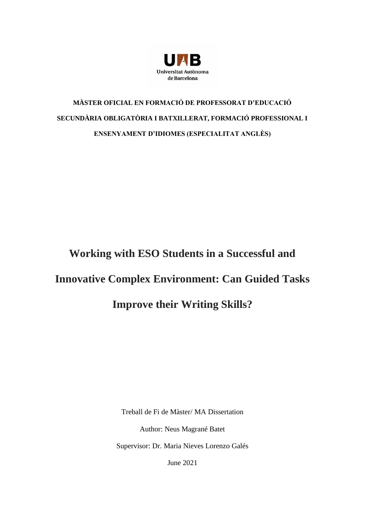

## **MÀSTER OFICIAL EN FORMACIÓ DE PROFESSORAT D'EDUCACIÓ SECUNDÀRIA OBLIGATÒRIA I BATXILLERAT, FORMACIÓ PROFESSIONAL I ENSENYAMENT D'IDIOMES (ESPECIALITAT ANGLÈS)**

# **Working with ESO Students in a Successful and Innovative Complex Environment: Can Guided Tasks Improve their Writing Skills?**

Treball de Fi de Màster/ MA Dissertation Author: Neus Magrané Batet Supervisor: Dr. Maria Nieves Lorenzo Galés

June 2021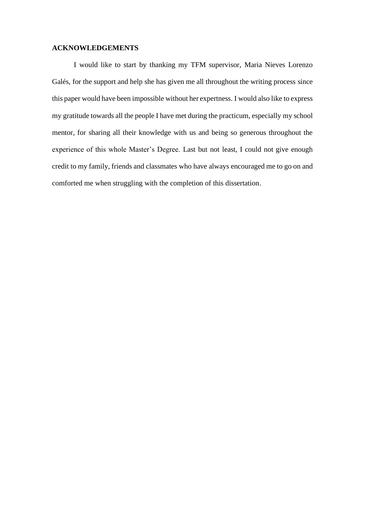#### **ACKNOWLEDGEMENTS**

I would like to start by thanking my TFM supervisor, Maria Nieves Lorenzo Galés, for the support and help she has given me all throughout the writing process since this paper would have been impossible without her expertness. I would also like to express my gratitude towards all the people I have met during the practicum, especially my school mentor, for sharing all their knowledge with us and being so generous throughout the experience of this whole Master's Degree. Last but not least, I could not give enough credit to my family, friends and classmates who have always encouraged me to go on and comforted me when struggling with the completion of this dissertation.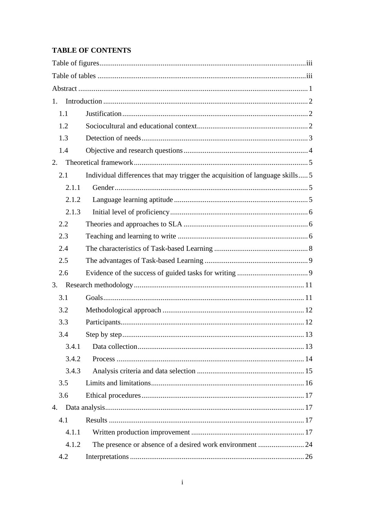## **TABLE OF CONTENTS**

| 1.    |                                                                              |
|-------|------------------------------------------------------------------------------|
| 1.1   |                                                                              |
| 1.2   |                                                                              |
| 1.3   |                                                                              |
| 1.4   |                                                                              |
| 2.    |                                                                              |
| 2.1   | Individual differences that may trigger the acquisition of language skills 5 |
| 2.1.1 |                                                                              |
| 2.1.2 |                                                                              |
| 2.1.3 |                                                                              |
| 2.2   |                                                                              |
| 2.3   |                                                                              |
| 2.4   |                                                                              |
| 2.5   |                                                                              |
| 2.6   |                                                                              |
| 3.    |                                                                              |
| 3.1   |                                                                              |
| 3.2   |                                                                              |
| 3.3   |                                                                              |
| 3.4   |                                                                              |
| 3.4.1 |                                                                              |
| 3.4.2 |                                                                              |
| 3.4.3 |                                                                              |
| 3.5   |                                                                              |
| 3.6   |                                                                              |
| 4.    |                                                                              |
| 4.1   |                                                                              |
| 4.1.1 |                                                                              |
| 4.1.2 |                                                                              |
| 4.2   |                                                                              |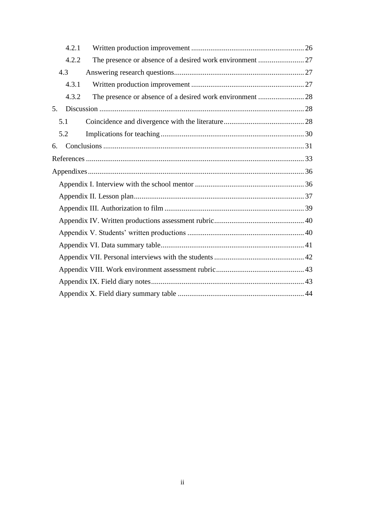|    | 4.2.1 |  |
|----|-------|--|
|    | 4.2.2 |  |
|    | 4.3   |  |
|    | 4.3.1 |  |
|    | 4.3.2 |  |
| 5. |       |  |
|    | 5.1   |  |
|    | 5.2   |  |
| 6. |       |  |
|    |       |  |
|    |       |  |
|    |       |  |
|    |       |  |
|    |       |  |
|    |       |  |
|    |       |  |
|    |       |  |
|    |       |  |
|    |       |  |
|    |       |  |
|    |       |  |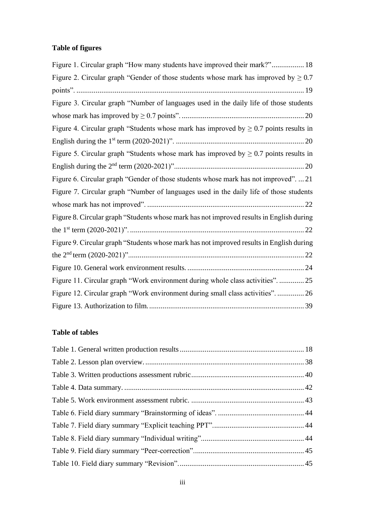## <span id="page-6-0"></span>**Table of figures**

| Figure 1. Circular graph "How many students have improved their mark?" 18                  |
|--------------------------------------------------------------------------------------------|
| Figure 2. Circular graph "Gender of those students whose mark has improved by $\geq 0.7$   |
|                                                                                            |
| Figure 3. Circular graph "Number of languages used in the daily life of those students     |
|                                                                                            |
| Figure 4. Circular graph "Students whose mark has improved by $\geq 0.7$ points results in |
|                                                                                            |
| Figure 5. Circular graph "Students whose mark has improved by $\geq 0.7$ points results in |
|                                                                                            |
| Figure 6. Circular graph "Gender of those students whose mark has not improved".  21       |
| Figure 7. Circular graph "Number of languages used in the daily life of those students     |
|                                                                                            |
| Figure 8. Circular graph "Students whose mark has not improved results in English during   |
|                                                                                            |
| Figure 9. Circular graph "Students whose mark has not improved results in English during   |
|                                                                                            |
|                                                                                            |
| Figure 11. Circular graph "Work environment during whole class activities".  25            |
| Figure 12. Circular graph "Work environment during small class activities".  26            |
|                                                                                            |

## <span id="page-6-1"></span>**Table of tables**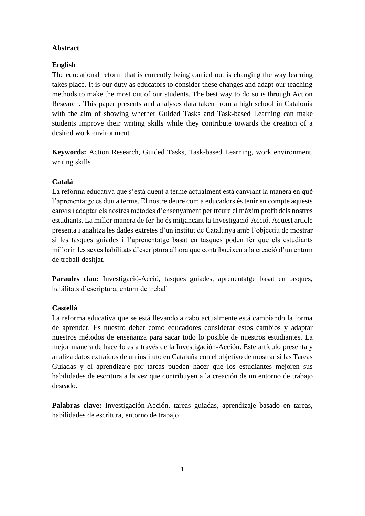#### <span id="page-7-0"></span>**Abstract**

#### **English**

The educational reform that is currently being carried out is changing the way learning takes place. It is our duty as educators to consider these changes and adapt our teaching methods to make the most out of our students. The best way to do so is through Action Research. This paper presents and analyses data taken from a high school in Catalonia with the aim of showing whether Guided Tasks and Task-based Learning can make students improve their writing skills while they contribute towards the creation of a desired work environment.

**Keywords:** Action Research, Guided Tasks, Task-based Learning, work environment, writing skills

#### **Català**

La reforma educativa que s'està duent a terme actualment està canviant la manera en què l'aprenentatge es duu a terme. El nostre deure com a educadors és tenir en compte aquests canvis i adaptar els nostres mètodes d'ensenyament per treure el màxim profit dels nostres estudiants. La millor manera de fer-ho és mitjançant la Investigació-Acció. Aquest article presenta i analitza les dades extretes d'un institut de Catalunya amb l'objectiu de mostrar si les tasques guiades i l'aprenentatge basat en tasques poden fer que els estudiants millorin les seves habilitats d'escriptura alhora que contribueixen a la creació d'un entorn de treball desitjat.

**Paraules clau:** Investigació-Acció, tasques guiades, aprenentatge basat en tasques, habilitats d'escriptura, entorn de treball

#### **Castellà**

La reforma educativa que se está llevando a cabo actualmente está cambiando la forma de aprender. Es nuestro deber como educadores considerar estos cambios y adaptar nuestros métodos de enseñanza para sacar todo lo posible de nuestros estudiantes. La mejor manera de hacerlo es a través de la Investigación-Acción. Este artículo presenta y analiza datos extraídos de un instituto en Cataluña con el objetivo de mostrar si las Tareas Guiadas y el aprendizaje por tareas pueden hacer que los estudiantes mejoren sus habilidades de escritura a la vez que contribuyen a la creación de un entorno de trabajo deseado.

**Palabras clave:** Investigación-Acción, tareas guiadas, aprendizaje basado en tareas, habilidades de escritura, entorno de trabajo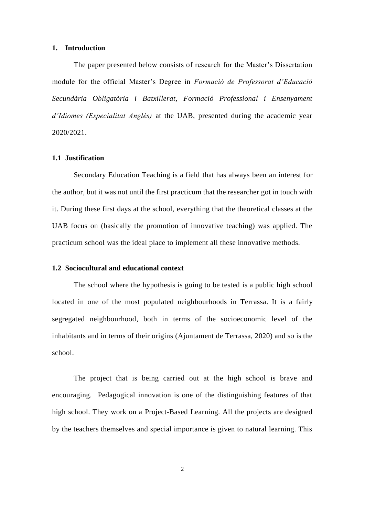#### <span id="page-8-0"></span>**1. Introduction**

The paper presented below consists of research for the Master's Dissertation module for the official Master's Degree in *Formació de Professorat d'Educació Secundària Obligatòria i Batxillerat, Formació Professional i Ensenyament d'Idiomes (Especialitat Anglès)* at the UAB, presented during the academic year 2020/2021.

#### <span id="page-8-1"></span>**1.1 Justification**

Secondary Education Teaching is a field that has always been an interest for the author, but it was not until the first practicum that the researcher got in touch with it. During these first days at the school, everything that the theoretical classes at the UAB focus on (basically the promotion of innovative teaching) was applied. The practicum school was the ideal place to implement all these innovative methods.

#### <span id="page-8-2"></span>**1.2 Sociocultural and educational context**

The school where the hypothesis is going to be tested is a public high school located in one of the most populated neighbourhoods in Terrassa. It is a fairly segregated neighbourhood, both in terms of the socioeconomic level of the inhabitants and in terms of their origins (Ajuntament de Terrassa, 2020) and so is the school.

The project that is being carried out at the high school is brave and encouraging. Pedagogical innovation is one of the distinguishing features of that high school. They work on a Project-Based Learning. All the projects are designed by the teachers themselves and special importance is given to natural learning. This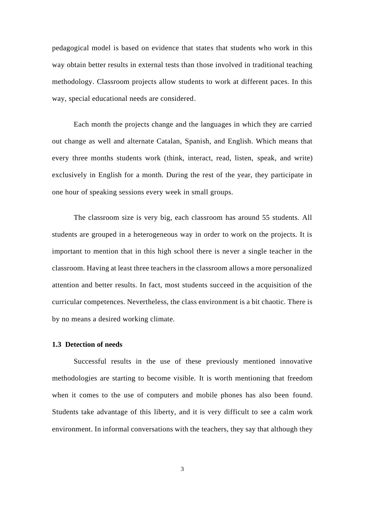pedagogical model is based on evidence that states that students who work in this way obtain better results in external tests than those involved in traditional teaching methodology. Classroom projects allow students to work at different paces. In this way, special educational needs are considered.

Each month the projects change and the languages in which they are carried out change as well and alternate Catalan, Spanish, and English. Which means that every three months students work (think, interact, read, listen, speak, and write) exclusively in English for a month. During the rest of the year, they participate in one hour of speaking sessions every week in small groups.

The classroom size is very big, each classroom has around 55 students. All students are grouped in a heterogeneous way in order to work on the projects. It is important to mention that in this high school there is never a single teacher in the classroom. Having at least three teachers in the classroom allows a more personalized attention and better results. In fact, most students succeed in the acquisition of the curricular competences. Nevertheless, the class environment is a bit chaotic. There is by no means a desired working climate.

#### <span id="page-9-0"></span>**1.3 Detection of needs**

Successful results in the use of these previously mentioned innovative methodologies are starting to become visible. It is worth mentioning that freedom when it comes to the use of computers and mobile phones has also been found. Students take advantage of this liberty, and it is very difficult to see a calm work environment. In informal conversations with the teachers, they say that although they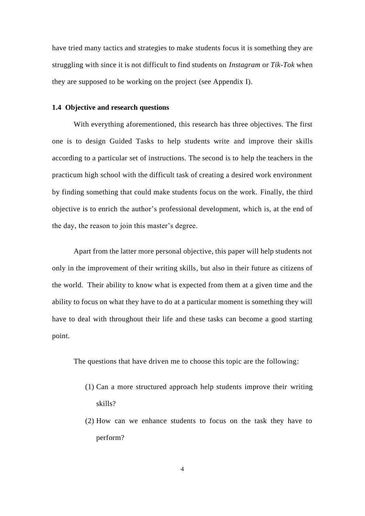have tried many tactics and strategies to make students focus it is something they are struggling with since it is not difficult to find students on *Instagram* or *Tik-Tok* when they are supposed to be working on the project (see Appendix I).

#### <span id="page-10-0"></span>**1.4 Objective and research questions**

With everything aforementioned, this research has three objectives. The first one is to design Guided Tasks to help students write and improve their skills according to a particular set of instructions. The second is to help the teachers in the practicum high school with the difficult task of creating a desired work environment by finding something that could make students focus on the work. Finally, the third objective is to enrich the author's professional development, which is, at the end of the day, the reason to join this master's degree.

Apart from the latter more personal objective, this paper will help students not only in the improvement of their writing skills, but also in their future as citizens of the world. Their ability to know what is expected from them at a given time and the ability to focus on what they have to do at a particular moment is something they will have to deal with throughout their life and these tasks can become a good starting point.

The questions that have driven me to choose this topic are the following:

- (1) Can a more structured approach help students improve their writing skills?
- (2) How can we enhance students to focus on the task they have to perform?

4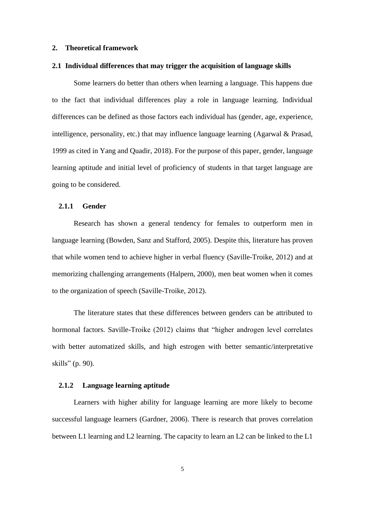#### <span id="page-11-0"></span>**2. Theoretical framework**

#### <span id="page-11-1"></span>**2.1 Individual differences that may trigger the acquisition of language skills**

Some learners do better than others when learning a language. This happens due to the fact that individual differences play a role in language learning. Individual differences can be defined as those factors each individual has (gender, age, experience, intelligence, personality, etc.) that may influence language learning (Agarwal  $\&$  Prasad, 1999 as cited in Yang and Quadir, 2018). For the purpose of this paper, gender, language learning aptitude and initial level of proficiency of students in that target language are going to be considered.

#### <span id="page-11-2"></span>**2.1.1 Gender**

Research has shown a general tendency for females to outperform men in language learning (Bowden, Sanz and Stafford, 2005). Despite this, literature has proven that while women tend to achieve higher in verbal fluency (Saville-Troike, 2012) and at memorizing challenging arrangements (Halpern, 2000), men beat women when it comes to the organization of speech (Saville-Troike, 2012).

The literature states that these differences between genders can be attributed to hormonal factors. Saville-Troike (2012) claims that "higher androgen level correlates with better automatized skills, and high estrogen with better semantic/interpretative skills" (p. 90).

#### <span id="page-11-3"></span>**2.1.2 Language learning aptitude**

Learners with higher ability for language learning are more likely to become successful language learners (Gardner, 2006). There is research that proves correlation between L1 learning and L2 learning. The capacity to learn an L2 can be linked to the L1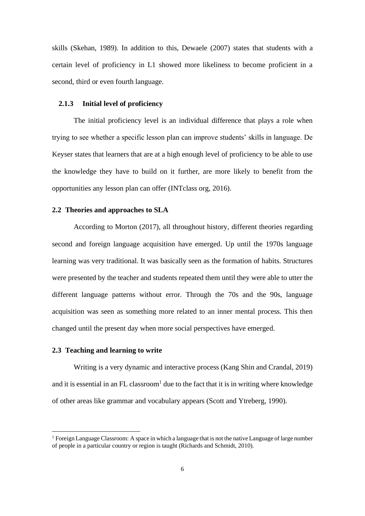skills (Skehan, 1989). In addition to this, Dewaele (2007) states that students with a certain level of proficiency in L1 showed more likeliness to become proficient in a second, third or even fourth language.

#### <span id="page-12-0"></span>**2.1.3 Initial level of proficiency**

The initial proficiency level is an individual difference that plays a role when trying to see whether a specific lesson plan can improve students' skills in language. De Keyser states that learners that are at a high enough level of proficiency to be able to use the knowledge they have to build on it further, are more likely to benefit from the opportunities any lesson plan can offer (INTclass org, 2016).

#### <span id="page-12-1"></span>**2.2 Theories and approaches to SLA**

According to Morton (2017), all throughout history, different theories regarding second and foreign language acquisition have emerged. Up until the 1970s language learning was very traditional. It was basically seen as the formation of habits. Structures were presented by the teacher and students repeated them until they were able to utter the different language patterns without error. Through the 70s and the 90s, language acquisition was seen as something more related to an inner mental process. This then changed until the present day when more social perspectives have emerged.

#### <span id="page-12-2"></span>**2.3 Teaching and learning to write**

Writing is a very dynamic and interactive process (Kang Shin and Crandal, 2019) and it is essential in an FL classroom<sup>1</sup> due to the fact that it is in writing where knowledge of other areas like grammar and vocabulary appears (Scott and Ytreberg, 1990).

<sup>&</sup>lt;sup>1</sup> Foreign Language Classroom: A space in which a language that is not the native Language of large number of people in a particular country or region is taught (Richards and Schmidt, 2010).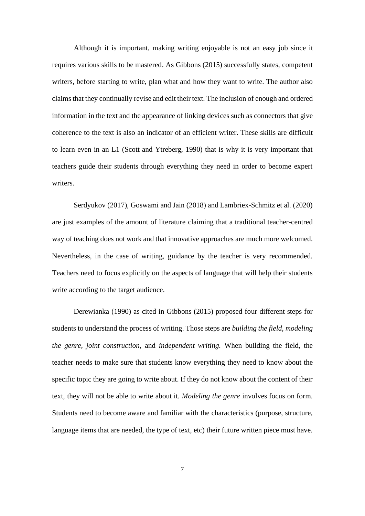Although it is important, making writing enjoyable is not an easy job since it requires various skills to be mastered. As Gibbons (2015) successfully states, competent writers, before starting to write, plan what and how they want to write. The author also claims that they continually revise and edit their text. The inclusion of enough and ordered information in the text and the appearance of linking devices such as connectors that give coherence to the text is also an indicator of an efficient writer. These skills are difficult to learn even in an L1 (Scott and Ytreberg, 1990) that is why it is very important that teachers guide their students through everything they need in order to become expert writers.

Serdyukov (2017), Goswami and Jain (2018) and Lambriex-Schmitz et al. (2020) are just examples of the amount of literature claiming that a traditional teacher-centred way of teaching does not work and that innovative approaches are much more welcomed. Nevertheless, in the case of writing, guidance by the teacher is very recommended. Teachers need to focus explicitly on the aspects of language that will help their students write according to the target audience.

Derewianka (1990) as cited in Gibbons (2015) proposed four different steps for students to understand the process of writing. Those steps are *building the field, modeling the genre, joint construction,* and *independent writing.* When building the field, the teacher needs to make sure that students know everything they need to know about the specific topic they are going to write about. If they do not know about the content of their text, they will not be able to write about it. *Modeling the genre* involves focus on form. Students need to become aware and familiar with the characteristics (purpose, structure, language items that are needed, the type of text, etc) their future written piece must have.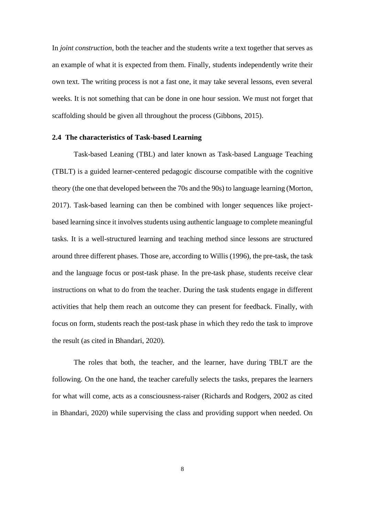In *joint construction*, both the teacher and the students write a text together that serves as an example of what it is expected from them. Finally, students independently write their own text. The writing process is not a fast one, it may take several lessons, even several weeks. It is not something that can be done in one hour session. We must not forget that scaffolding should be given all throughout the process (Gibbons, 2015).

#### <span id="page-14-0"></span>**2.4 The characteristics of Task-based Learning**

Task-based Leaning (TBL) and later known as Task-based Language Teaching (TBLT) is a guided learner-centered pedagogic discourse compatible with the cognitive theory (the one that developed between the 70s and the 90s) to language learning (Morton, 2017). Task-based learning can then be combined with longer sequences like projectbased learning since it involves students using authentic language to complete meaningful tasks. It is a well-structured learning and teaching method since lessons are structured around three different phases. Those are, according to Willis (1996), the pre-task, the task and the language focus or post-task phase. In the pre-task phase, students receive clear instructions on what to do from the teacher. During the task students engage in different activities that help them reach an outcome they can present for feedback. Finally, with focus on form, students reach the post-task phase in which they redo the task to improve the result (as cited in Bhandari, 2020).

The roles that both, the teacher, and the learner, have during TBLT are the following. On the one hand, the teacher carefully selects the tasks, prepares the learners for what will come, acts as a consciousness-raiser (Richards and Rodgers, 2002 as cited in Bhandari, 2020) while supervising the class and providing support when needed. On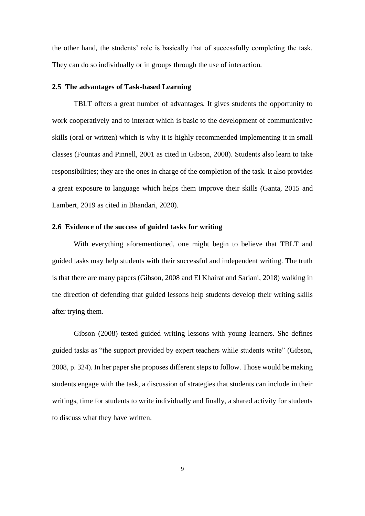the other hand, the students' role is basically that of successfully completing the task. They can do so individually or in groups through the use of interaction.

#### <span id="page-15-0"></span>**2.5 The advantages of Task-based Learning**

TBLT offers a great number of advantages. It gives students the opportunity to work cooperatively and to interact which is basic to the development of communicative skills (oral or written) which is why it is highly recommended implementing it in small classes (Fountas and Pinnell, 2001 as cited in Gibson, 2008). Students also learn to take responsibilities; they are the ones in charge of the completion of the task. It also provides a great exposure to language which helps them improve their skills (Ganta, 2015 and Lambert, 2019 as cited in Bhandari, 2020).

#### <span id="page-15-1"></span>**2.6 Evidence of the success of guided tasks for writing**

With everything aforementioned, one might begin to believe that TBLT and guided tasks may help students with their successful and independent writing. The truth is that there are many papers (Gibson, 2008 and El Khairat and Sariani, 2018) walking in the direction of defending that guided lessons help students develop their writing skills after trying them.

Gibson (2008) tested guided writing lessons with young learners. She defines guided tasks as "the support provided by expert teachers while students write" (Gibson, 2008, p. 324). In her paper she proposes different steps to follow. Those would be making students engage with the task, a discussion of strategies that students can include in their writings, time for students to write individually and finally, a shared activity for students to discuss what they have written.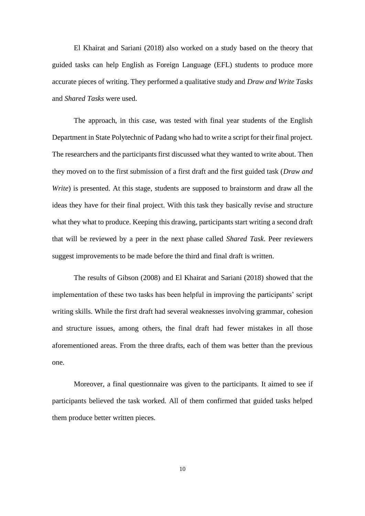El Khairat and Sariani (2018) also worked on a study based on the theory that guided tasks can help English as Foreign Language (EFL) students to produce more accurate pieces of writing. They performed a qualitative study and *Draw and Write Tasks* and *Shared Tasks* were used.

The approach, in this case, was tested with final year students of the English Department in State Polytechnic of Padang who had to write a script for their final project. The researchers and the participants first discussed what they wanted to write about. Then they moved on to the first submission of a first draft and the first guided task (*Draw and Write*) is presented. At this stage, students are supposed to brainstorm and draw all the ideas they have for their final project. With this task they basically revise and structure what they what to produce. Keeping this drawing, participants start writing a second draft that will be reviewed by a peer in the next phase called *Shared Task*. Peer reviewers suggest improvements to be made before the third and final draft is written.

The results of Gibson (2008) and El Khairat and Sariani (2018) showed that the implementation of these two tasks has been helpful in improving the participants' script writing skills. While the first draft had several weaknesses involving grammar, cohesion and structure issues, among others, the final draft had fewer mistakes in all those aforementioned areas. From the three drafts, each of them was better than the previous one.

Moreover, a final questionnaire was given to the participants. It aimed to see if participants believed the task worked. All of them confirmed that guided tasks helped them produce better written pieces.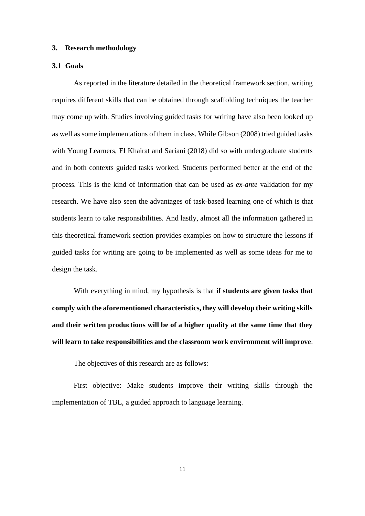#### <span id="page-17-0"></span>**3. Research methodology**

#### <span id="page-17-1"></span>**3.1 Goals**

As reported in the literature detailed in the theoretical framework section, writing requires different skills that can be obtained through scaffolding techniques the teacher may come up with. Studies involving guided tasks for writing have also been looked up as well as some implementations of them in class. While Gibson (2008) tried guided tasks with Young Learners, El Khairat and Sariani (2018) did so with undergraduate students and in both contexts guided tasks worked. Students performed better at the end of the process. This is the kind of information that can be used as *ex-ante* validation for my research. We have also seen the advantages of task-based learning one of which is that students learn to take responsibilities. And lastly, almost all the information gathered in this theoretical framework section provides examples on how to structure the lessons if guided tasks for writing are going to be implemented as well as some ideas for me to design the task.

With everything in mind, my hypothesis is that **if students are given tasks that comply with the aforementioned characteristics, they will develop their writing skills and their written productions will be of a higher quality at the same time that they will learn to take responsibilities and the classroom work environment will improve**.

The objectives of this research are as follows:

First objective: Make students improve their writing skills through the implementation of TBL, a guided approach to language learning.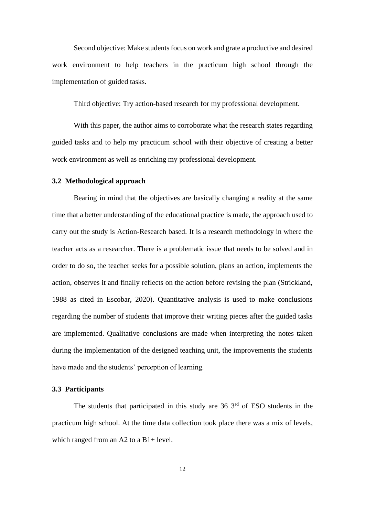Second objective: Make students focus on work and grate a productive and desired work environment to help teachers in the practicum high school through the implementation of guided tasks.

Third objective: Try action-based research for my professional development.

With this paper, the author aims to corroborate what the research states regarding guided tasks and to help my practicum school with their objective of creating a better work environment as well as enriching my professional development.

#### <span id="page-18-0"></span>**3.2 Methodological approach**

Bearing in mind that the objectives are basically changing a reality at the same time that a better understanding of the educational practice is made, the approach used to carry out the study is Action-Research based. It is a research methodology in where the teacher acts as a researcher. There is a problematic issue that needs to be solved and in order to do so, the teacher seeks for a possible solution, plans an action, implements the action, observes it and finally reflects on the action before revising the plan (Strickland, 1988 as cited in Escobar, 2020). Quantitative analysis is used to make conclusions regarding the number of students that improve their writing pieces after the guided tasks are implemented. Qualitative conclusions are made when interpreting the notes taken during the implementation of the designed teaching unit, the improvements the students have made and the students' perception of learning.

#### <span id="page-18-1"></span>**3.3 Participants**

The students that participated in this study are  $36 \, 3^{rd}$  of ESO students in the practicum high school. At the time data collection took place there was a mix of levels, which ranged from an A2 to a B<sub>1+</sub> level.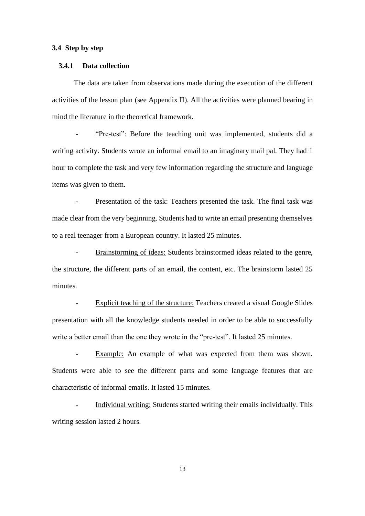#### <span id="page-19-0"></span>**3.4 Step by step**

#### <span id="page-19-1"></span>**3.4.1 Data collection**

The data are taken from observations made during the execution of the different activities of the lesson plan (see Appendix II). All the activities were planned bearing in mind the literature in the theoretical framework.

"Pre-test": Before the teaching unit was implemented, students did a writing activity. Students wrote an informal email to an imaginary mail pal. They had 1 hour to complete the task and very few information regarding the structure and language items was given to them.

Presentation of the task: Teachers presented the task. The final task was made clear from the very beginning. Students had to write an email presenting themselves to a real teenager from a European country. It lasted 25 minutes.

- Brainstorming of ideas: Students brainstormed ideas related to the genre, the structure, the different parts of an email, the content, etc. The brainstorm lasted 25 minutes.

Explicit teaching of the structure: Teachers created a visual Google Slides presentation with all the knowledge students needed in order to be able to successfully write a better email than the one they wrote in the "pre-test". It lasted 25 minutes.

Example: An example of what was expected from them was shown. Students were able to see the different parts and some language features that are characteristic of informal emails. It lasted 15 minutes.

Individual writing: Students started writing their emails individually. This writing session lasted 2 hours.

13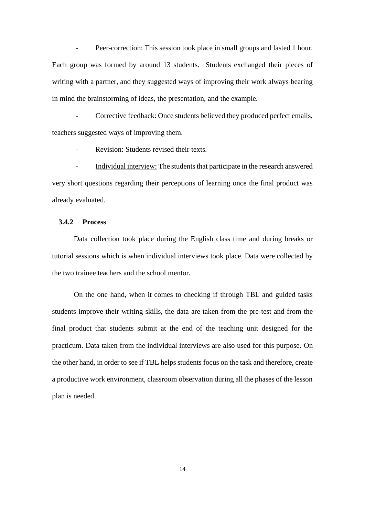Peer-correction: This session took place in small groups and lasted 1 hour. Each group was formed by around 13 students. Students exchanged their pieces of writing with a partner, and they suggested ways of improving their work always bearing in mind the brainstorming of ideas, the presentation, and the example.

Corrective feedback: Once students believed they produced perfect emails, teachers suggested ways of improving them.

Revision: Students revised their texts.

- Individual interview: The students that participate in the research answered very short questions regarding their perceptions of learning once the final product was already evaluated.

#### <span id="page-20-0"></span>**3.4.2 Process**

Data collection took place during the English class time and during breaks or tutorial sessions which is when individual interviews took place. Data were collected by the two trainee teachers and the school mentor.

On the one hand, when it comes to checking if through TBL and guided tasks students improve their writing skills, the data are taken from the pre-test and from the final product that students submit at the end of the teaching unit designed for the practicum. Data taken from the individual interviews are also used for this purpose. On the other hand, in order to see if TBL helps students focus on the task and therefore, create a productive work environment, classroom observation during all the phases of the lesson plan is needed.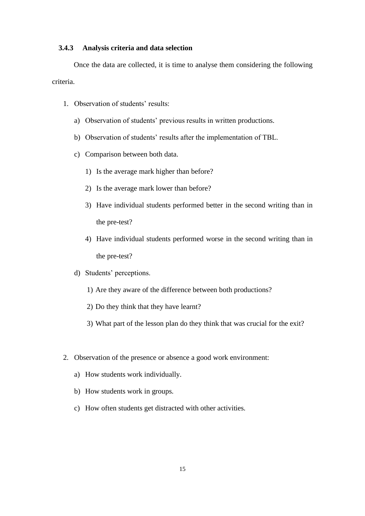#### <span id="page-21-0"></span>**3.4.3 Analysis criteria and data selection**

Once the data are collected, it is time to analyse them considering the following criteria.

- 1. Observation of students' results:
	- a) Observation of students' previous results in written productions.
	- b) Observation of students' results after the implementation of TBL.
	- c) Comparison between both data.
		- 1) Is the average mark higher than before?
		- 2) Is the average mark lower than before?
		- 3) Have individual students performed better in the second writing than in the pre-test?
		- 4) Have individual students performed worse in the second writing than in the pre-test?
	- d) Students' perceptions.
		- 1) Are they aware of the difference between both productions?
		- 2) Do they think that they have learnt?
		- 3) What part of the lesson plan do they think that was crucial for the exit?
- 2. Observation of the presence or absence a good work environment:
	- a) How students work individually.
	- b) How students work in groups.
	- c) How often students get distracted with other activities.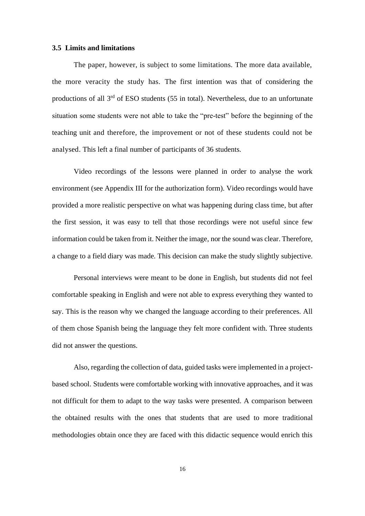#### <span id="page-22-0"></span>**3.5 Limits and limitations**

The paper, however, is subject to some limitations. The more data available, the more veracity the study has. The first intention was that of considering the productions of all 3<sup>rd</sup> of ESO students (55 in total). Nevertheless, due to an unfortunate situation some students were not able to take the "pre-test" before the beginning of the teaching unit and therefore, the improvement or not of these students could not be analysed. This left a final number of participants of 36 students.

Video recordings of the lessons were planned in order to analyse the work environment (see Appendix III for the authorization form). Video recordings would have provided a more realistic perspective on what was happening during class time, but after the first session, it was easy to tell that those recordings were not useful since few information could be taken from it. Neither the image, nor the sound was clear. Therefore, a change to a field diary was made. This decision can make the study slightly subjective.

Personal interviews were meant to be done in English, but students did not feel comfortable speaking in English and were not able to express everything they wanted to say. This is the reason why we changed the language according to their preferences. All of them chose Spanish being the language they felt more confident with. Three students did not answer the questions.

Also, regarding the collection of data, guided tasks were implemented in a projectbased school. Students were comfortable working with innovative approaches, and it was not difficult for them to adapt to the way tasks were presented. A comparison between the obtained results with the ones that students that are used to more traditional methodologies obtain once they are faced with this didactic sequence would enrich this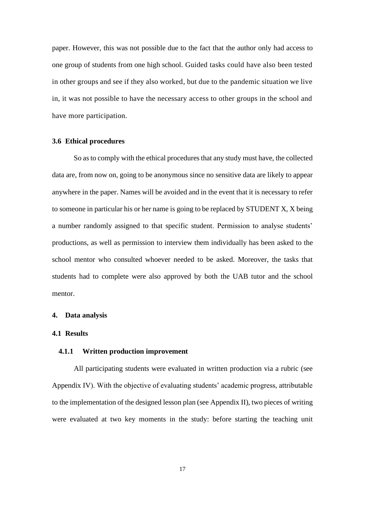paper. However, this was not possible due to the fact that the author only had access to one group of students from one high school. Guided tasks could have also been tested in other groups and see if they also worked, but due to the pandemic situation we live in, it was not possible to have the necessary access to other groups in the school and have more participation.

#### <span id="page-23-0"></span>**3.6 Ethical procedures**

So as to comply with the ethical procedures that any study must have, the collected data are, from now on, going to be anonymous since no sensitive data are likely to appear anywhere in the paper. Names will be avoided and in the event that it is necessary to refer to someone in particular his or her name is going to be replaced by STUDENT X, X being a number randomly assigned to that specific student. Permission to analyse students' productions, as well as permission to interview them individually has been asked to the school mentor who consulted whoever needed to be asked. Moreover, the tasks that students had to complete were also approved by both the UAB tutor and the school mentor.

#### <span id="page-23-1"></span>**4. Data analysis**

#### <span id="page-23-2"></span>**4.1 Results**

#### <span id="page-23-3"></span>**4.1.1 Written production improvement**

All participating students were evaluated in written production via a rubric (see Appendix IV). With the objective of evaluating students' academic progress, attributable to the implementation of the designed lesson plan (see Appendix II), two pieces of writing were evaluated at two key moments in the study: before starting the teaching unit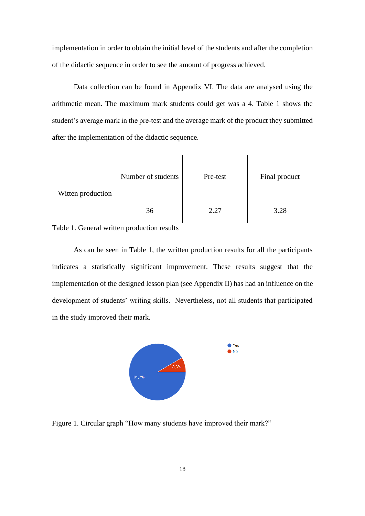implementation in order to obtain the initial level of the students and after the completion of the didactic sequence in order to see the amount of progress achieved.

Data collection can be found in Appendix VI. The data are analysed using the arithmetic mean. The maximum mark students could get was a 4. Table 1 shows the student's average mark in the pre-test and the average mark of the product they submitted after the implementation of the didactic sequence.

| Witten production | Number of students | Pre-test | Final product |
|-------------------|--------------------|----------|---------------|
|                   | 36                 | 2.27     | 3.28          |

<span id="page-24-1"></span>Table 1. General written production results

As can be seen in Table 1, the written production results for all the participants indicates a statistically significant improvement. These results suggest that the implementation of the designed lesson plan (see Appendix II) has had an influence on the development of students' writing skills. Nevertheless, not all students that participated in the study improved their mark.



<span id="page-24-0"></span>Figure 1. Circular graph "How many students have improved their mark?"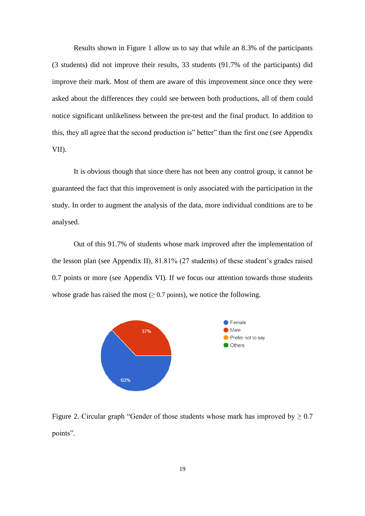Results shown in Figure 1 allow us to say that while an 8.3% of the participants (3 students) did not improve their results, 33 students (91.7% of the participants) did improve their mark. Most of them are aware of this improvement since once they were asked about the differences they could see between both productions, all of them could notice significant unlikeliness between the pre-test and the final product. In addition to this, they all agree that the second production is" better" than the first one (see Appendix VII).

It is obvious though that since there has not been any control group, it cannot be guaranteed the fact that this improvement is only associated with the participation in the study. In order to augment the analysis of the data, more individual conditions are to be analysed.

Out of this 91.7% of students whose mark improved after the implementation of the lesson plan (see Appendix II), 81.81% (27 students) of these student's grades raised 0.7 points or more (see Appendix VI). If we focus our attention towards those students whose grade has raised the most  $(≥ 0.7 \text{ points})$ , we notice the following.



<span id="page-25-0"></span>Figure 2. Circular graph "Gender of those students whose mark has improved by  $\geq 0.7$ points".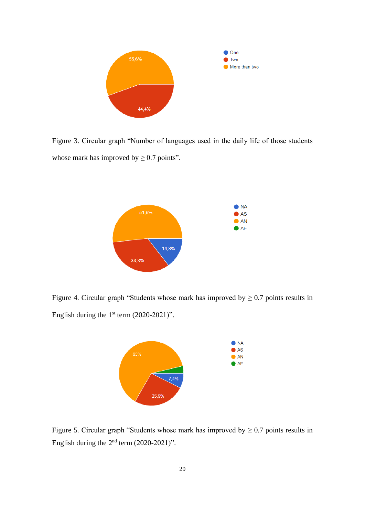

<span id="page-26-0"></span>Figure 3. Circular graph "Number of languages used in the daily life of those students whose mark has improved by  $\geq 0.7$  points".



<span id="page-26-1"></span>Figure 4. Circular graph "Students whose mark has improved by  $\geq 0.7$  points results in English during the  $1<sup>st</sup>$  term (2020-2021)".



<span id="page-26-2"></span>Figure 5. Circular graph "Students whose mark has improved by  $\geq 0.7$  points results in English during the  $2<sup>nd</sup>$  term  $(2020-2021)$ ".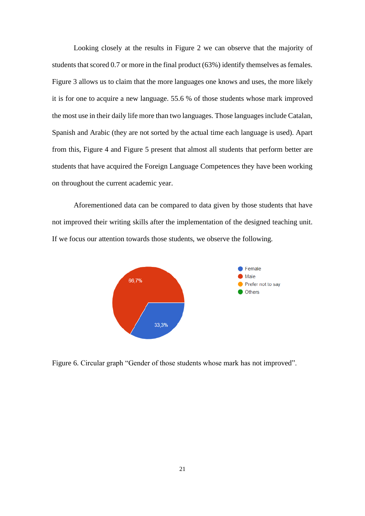Looking closely at the results in Figure 2 we can observe that the majority of students that scored 0.7 or more in the final product (63%) identify themselves as females. Figure 3 allows us to claim that the more languages one knows and uses, the more likely it is for one to acquire a new language. 55.6 % of those students whose mark improved the most use in their daily life more than two languages. Those languages include Catalan, Spanish and Arabic (they are not sorted by the actual time each language is used). Apart from this, Figure 4 and Figure 5 present that almost all students that perform better are students that have acquired the Foreign Language Competences they have been working on throughout the current academic year.

Aforementioned data can be compared to data given by those students that have not improved their writing skills after the implementation of the designed teaching unit. If we focus our attention towards those students, we observe the following.



<span id="page-27-0"></span>Figure 6. Circular graph "Gender of those students whose mark has not improved".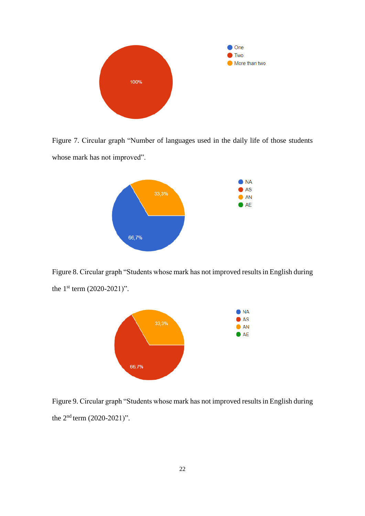

<span id="page-28-0"></span>Figure 7. Circular graph "Number of languages used in the daily life of those students whose mark has not improved".



<span id="page-28-1"></span>Figure 8. Circular graph "Students whose mark has not improved results in English during the  $1^{st}$  term  $(2020-2021)$ ".



<span id="page-28-2"></span>Figure 9. Circular graph "Students whose mark has not improved results in English during the  $2<sup>nd</sup>$  term  $(2020-2021)$ ".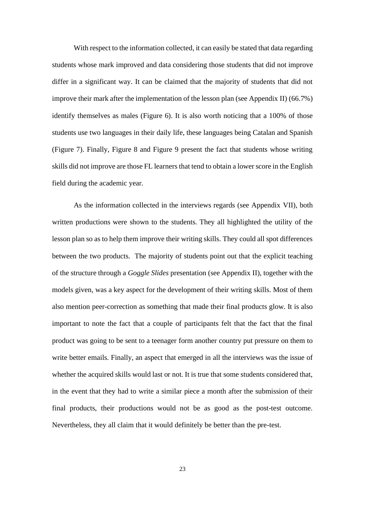With respect to the information collected, it can easily be stated that data regarding students whose mark improved and data considering those students that did not improve differ in a significant way. It can be claimed that the majority of students that did not improve their mark after the implementation of the lesson plan (see Appendix II) (66.7%) identify themselves as males (Figure 6). It is also worth noticing that a 100% of those students use two languages in their daily life, these languages being Catalan and Spanish (Figure 7). Finally, Figure 8 and Figure 9 present the fact that students whose writing skills did not improve are those FL learners that tend to obtain a lower score in the English field during the academic year.

As the information collected in the interviews regards (see Appendix VII), both written productions were shown to the students. They all highlighted the utility of the lesson plan so as to help them improve their writing skills. They could all spot differences between the two products. The majority of students point out that the explicit teaching of the structure through a *Goggle Slides* presentation (see Appendix II), together with the models given, was a key aspect for the development of their writing skills. Most of them also mention peer-correction as something that made their final products glow. It is also important to note the fact that a couple of participants felt that the fact that the final product was going to be sent to a teenager form another country put pressure on them to write better emails. Finally, an aspect that emerged in all the interviews was the issue of whether the acquired skills would last or not. It is true that some students considered that, in the event that they had to write a similar piece a month after the submission of their final products, their productions would not be as good as the post-test outcome. Nevertheless, they all claim that it would definitely be better than the pre-test.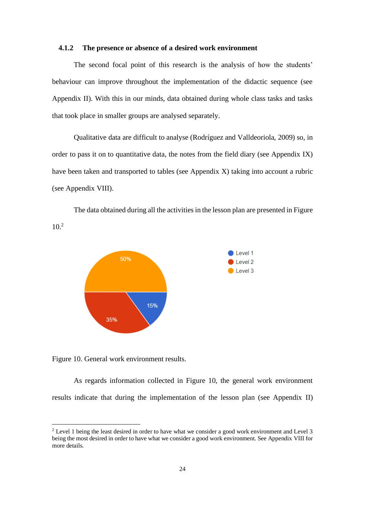#### <span id="page-30-0"></span>**4.1.2 The presence or absence of a desired work environment**

The second focal point of this research is the analysis of how the students' behaviour can improve throughout the implementation of the didactic sequence (see Appendix II). With this in our minds, data obtained during whole class tasks and tasks that took place in smaller groups are analysed separately.

Qualitative data are difficult to analyse (Rodríguez and Valldeoriola, 2009) so, in order to pass it on to quantitative data, the notes from the field diary (see Appendix IX) have been taken and transported to tables (see Appendix X) taking into account a rubric (see Appendix VIII).

The data obtained during all the activities in the lesson plan are presented in Figure 10. 2



<span id="page-30-1"></span>Figure 10. General work environment results.

As regards information collected in Figure 10, the general work environment results indicate that during the implementation of the lesson plan (see Appendix II)

<sup>&</sup>lt;sup>2</sup> Level 1 being the least desired in order to have what we consider a good work environment and Level 3 being the most desired in order to have what we consider a good work environment. See Appendix VIII for more details.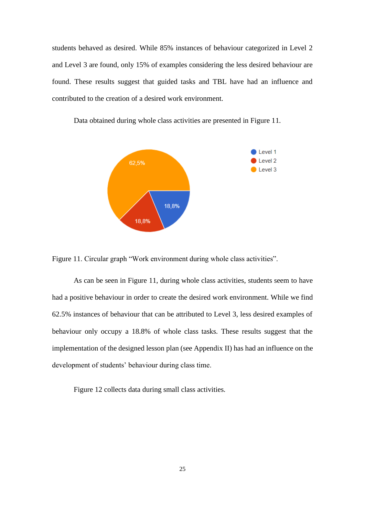students behaved as desired. While 85% instances of behaviour categorized in Level 2 and Level 3 are found, only 15% of examples considering the less desired behaviour are found. These results suggest that guided tasks and TBL have had an influence and contributed to the creation of a desired work environment.



Data obtained during whole class activities are presented in Figure 11.

<span id="page-31-0"></span>Figure 11. Circular graph "Work environment during whole class activities".

As can be seen in Figure 11, during whole class activities, students seem to have had a positive behaviour in order to create the desired work environment. While we find 62.5% instances of behaviour that can be attributed to Level 3, less desired examples of behaviour only occupy a 18.8% of whole class tasks. These results suggest that the implementation of the designed lesson plan (see Appendix II) has had an influence on the development of students' behaviour during class time.

Figure 12 collects data during small class activities.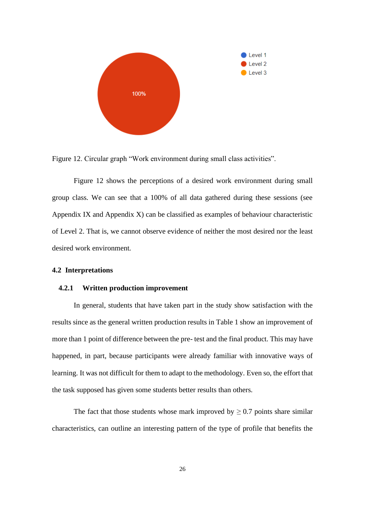

<span id="page-32-2"></span>Figure 12. Circular graph "Work environment during small class activities".

Figure 12 shows the perceptions of a desired work environment during small group class. We can see that a 100% of all data gathered during these sessions (see Appendix IX and Appendix X) can be classified as examples of behaviour characteristic of Level 2. That is, we cannot observe evidence of neither the most desired nor the least desired work environment.

#### <span id="page-32-0"></span>**4.2 Interpretations**

#### <span id="page-32-1"></span>**4.2.1 Written production improvement**

In general, students that have taken part in the study show satisfaction with the results since as the general written production results in Table 1 show an improvement of more than 1 point of difference between the pre- test and the final product. This may have happened, in part, because participants were already familiar with innovative ways of learning. It was not difficult for them to adapt to the methodology. Even so, the effort that the task supposed has given some students better results than others.

The fact that those students whose mark improved by  $\geq 0.7$  points share similar characteristics, can outline an interesting pattern of the type of profile that benefits the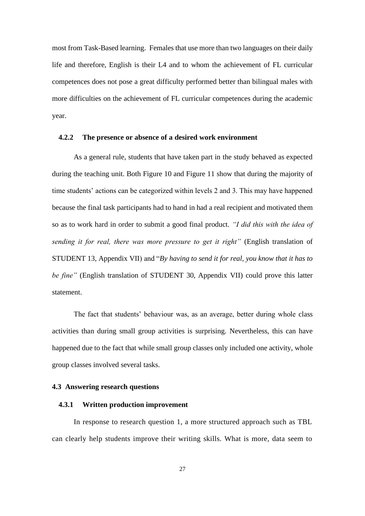most from Task-Based learning. Females that use more than two languages on their daily life and therefore, English is their L4 and to whom the achievement of FL curricular competences does not pose a great difficulty performed better than bilingual males with more difficulties on the achievement of FL curricular competences during the academic year.

#### <span id="page-33-0"></span>**4.2.2 The presence or absence of a desired work environment**

As a general rule, students that have taken part in the study behaved as expected during the teaching unit. Both Figure 10 and Figure 11 show that during the majority of time students' actions can be categorized within levels 2 and 3. This may have happened because the final task participants had to hand in had a real recipient and motivated them so as to work hard in order to submit a good final product. *"I did this with the idea of sending it for real, there was more pressure to get it right"* (English translation of STUDENT 13, Appendix VII) and "*By having to send it for real, you know that it has to be fine"* (English translation of STUDENT 30, Appendix VII) could prove this latter statement.

The fact that students' behaviour was, as an average, better during whole class activities than during small group activities is surprising. Nevertheless, this can have happened due to the fact that while small group classes only included one activity, whole group classes involved several tasks.

#### <span id="page-33-1"></span>**4.3 Answering research questions**

#### <span id="page-33-2"></span>**4.3.1 Written production improvement**

In response to research question 1, a more structured approach such as TBL can clearly help students improve their writing skills. What is more, data seem to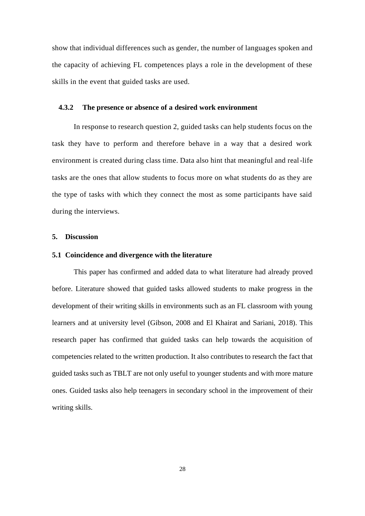show that individual differences such as gender, the number of languages spoken and the capacity of achieving FL competences plays a role in the development of these skills in the event that guided tasks are used.

#### <span id="page-34-0"></span>**4.3.2 The presence or absence of a desired work environment**

In response to research question 2, guided tasks can help students focus on the task they have to perform and therefore behave in a way that a desired work environment is created during class time. Data also hint that meaningful and real-life tasks are the ones that allow students to focus more on what students do as they are the type of tasks with which they connect the most as some participants have said during the interviews.

#### <span id="page-34-1"></span>**5. Discussion**

#### <span id="page-34-2"></span>**5.1 Coincidence and divergence with the literature**

This paper has confirmed and added data to what literature had already proved before. Literature showed that guided tasks allowed students to make progress in the development of their writing skills in environments such as an FL classroom with young learners and at university level (Gibson, 2008 and El Khairat and Sariani, 2018). This research paper has confirmed that guided tasks can help towards the acquisition of competencies related to the written production. It also contributes to research the fact that guided tasks such as TBLT are not only useful to younger students and with more mature ones. Guided tasks also help teenagers in secondary school in the improvement of their writing skills.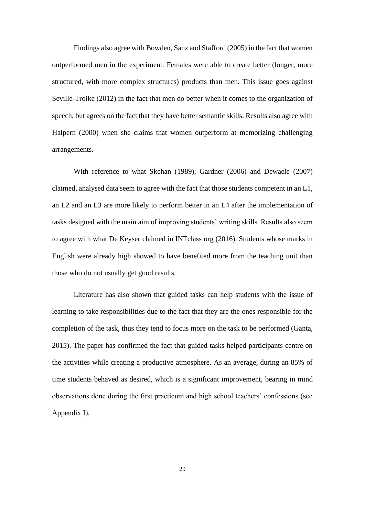Findings also agree with Bowden, Sanz and Stafford (2005) in the fact that women outperformed men in the experiment. Females were able to create better (longer, more structured, with more complex structures) products than men. This issue goes against Seville-Troike (2012) in the fact that men do better when it comes to the organization of speech, but agrees on the fact that they have better semantic skills. Results also agree with Halpern (2000) when she claims that women outperform at memorizing challenging arrangements.

With reference to what Skehan (1989), Gardner (2006) and Dewaele (2007) claimed, analysed data seem to agree with the fact that those students competent in an L1, an L2 and an L3 are more likely to perform better in an L4 after the implementation of tasks designed with the main aim of improving students' writing skills. Results also seem to agree with what De Keyser claimed in INTclass org (2016). Students whose marks in English were already high showed to have benefited more from the teaching unit than those who do not usually get good results.

Literature has also shown that guided tasks can help students with the issue of learning to take responsibilities due to the fact that they are the ones responsible for the completion of the task, thus they tend to focus more on the task to be performed (Ganta, 2015). The paper has confirmed the fact that guided tasks helped participants centre on the activities while creating a productive atmosphere. As an average, during an 85% of time students behaved as desired, which is a significant improvement, bearing in mind observations done during the first practicum and high school teachers' confessions (see Appendix I).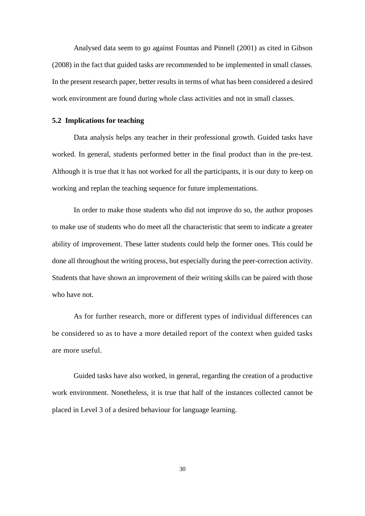Analysed data seem to go against Fountas and Pinnell (2001) as cited in Gibson (2008) in the fact that guided tasks are recommended to be implemented in small classes. In the present research paper, better results in terms of what has been considered a desired work environment are found during whole class activities and not in small classes.

#### <span id="page-36-0"></span>**5.2 Implications for teaching**

Data analysis helps any teacher in their professional growth. Guided tasks have worked. In general, students performed better in the final product than in the pre-test. Although it is true that it has not worked for all the participants, it is our duty to keep on working and replan the teaching sequence for future implementations.

In order to make those students who did not improve do so, the author proposes to make use of students who do meet all the characteristic that seem to indicate a greater ability of improvement. These latter students could help the former ones. This could be done all throughout the writing process, but especially during the peer-correction activity. Students that have shown an improvement of their writing skills can be paired with those who have not.

As for further research, more or different types of individual differences can be considered so as to have a more detailed report of the context when guided tasks are more useful.

Guided tasks have also worked, in general, regarding the creation of a productive work environment. Nonetheless, it is true that half of the instances collected cannot be placed in Level 3 of a desired behaviour for language learning.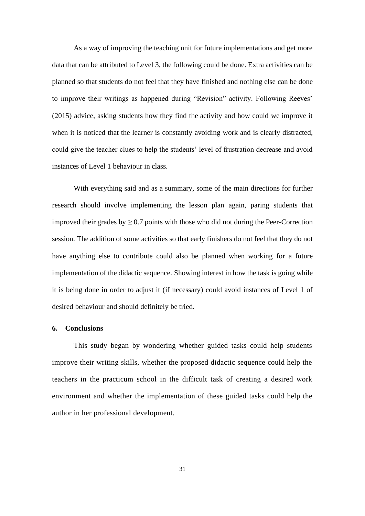As a way of improving the teaching unit for future implementations and get more data that can be attributed to Level 3, the following could be done. Extra activities can be planned so that students do not feel that they have finished and nothing else can be done to improve their writings as happened during "Revision" activity. Following Reeves' (2015) advice, asking students how they find the activity and how could we improve it when it is noticed that the learner is constantly avoiding work and is clearly distracted, could give the teacher clues to help the students' level of frustration decrease and avoid instances of Level 1 behaviour in class.

With everything said and as a summary, some of the main directions for further research should involve implementing the lesson plan again, paring students that improved their grades by  $\geq$  0.7 points with those who did not during the Peer-Correction session. The addition of some activities so that early finishers do not feel that they do not have anything else to contribute could also be planned when working for a future implementation of the didactic sequence. Showing interest in how the task is going while it is being done in order to adjust it (if necessary) could avoid instances of Level 1 of desired behaviour and should definitely be tried.

#### <span id="page-37-0"></span>**6. Conclusions**

This study began by wondering whether guided tasks could help students improve their writing skills, whether the proposed didactic sequence could help the teachers in the practicum school in the difficult task of creating a desired work environment and whether the implementation of these guided tasks could help the author in her professional development.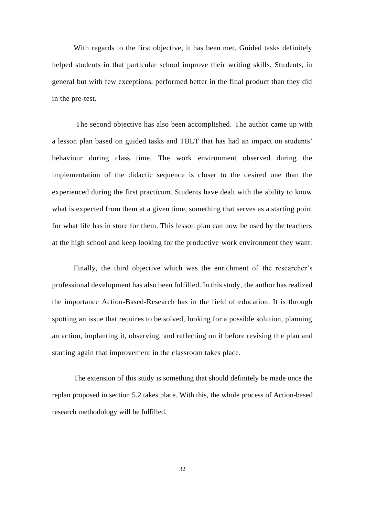With regards to the first objective, it has been met. Guided tasks definitely helped students in that particular school improve their writing skills. Students, in general but with few exceptions, performed better in the final product than they did in the pre-test.

The second objective has also been accomplished. The author came up with a lesson plan based on guided tasks and TBLT that has had an impact on students' behaviour during class time. The work environment observed during the implementation of the didactic sequence is closer to the desired one than the experienced during the first practicum. Students have dealt with the ability to know what is expected from them at a given time, something that serves as a starting point for what life has in store for them. This lesson plan can now be used by the teachers at the high school and keep looking for the productive work environment they want.

Finally, the third objective which was the enrichment of the researcher's professional development has also been fulfilled. In this study, the author has realized the importance Action-Based-Research has in the field of education. It is through spotting an issue that requires to be solved, looking for a possible solution, planning an action, implanting it, observing, and reflecting on it before revising the plan and starting again that improvement in the classroom takes place.

The extension of this study is something that should definitely be made once the replan proposed in section 5.2 takes place. With this, the whole process of Action-based research methodology will be fulfilled.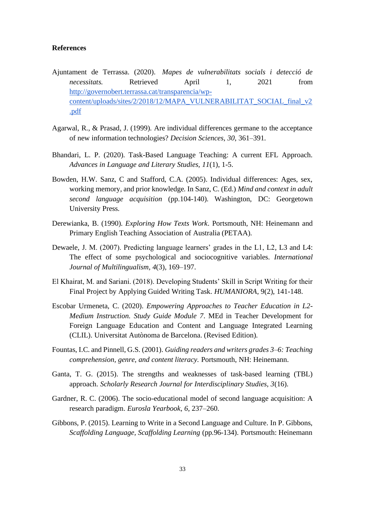#### <span id="page-39-0"></span>**References**

- Ajuntament de Terrassa. (2020). *Mapes de vulnerabilitats socials i detecció de necessitats.* Retrieved April 1, 2021 from [http://governobert.terrassa.cat/transparencia/wp](http://governobert.terrassa.cat/transparencia/wp-content/uploads/sites/2/2018/12/MAPA_VULNERABILITAT_SOCIAL_final_v2.pdf)[content/uploads/sites/2/2018/12/MAPA\\_VULNERABILITAT\\_SOCIAL\\_final\\_v2](http://governobert.terrassa.cat/transparencia/wp-content/uploads/sites/2/2018/12/MAPA_VULNERABILITAT_SOCIAL_final_v2.pdf) [.pdf](http://governobert.terrassa.cat/transparencia/wp-content/uploads/sites/2/2018/12/MAPA_VULNERABILITAT_SOCIAL_final_v2.pdf)
- Agarwal, R., & Prasad, J. (1999). Are individual differences germane to the acceptance of new information technologies? *Decision Sciences*, *30*, 361–391.
- Bhandari, L. P. (2020). Task-Based Language Teaching: A current EFL Approach. *Advances in Language and Literary Studies, 11*(1), 1-5.
- Bowden, H.W. Sanz, C and Stafford, C.A. (2005). Individual differences: Ages, sex, working memory, and prior knowledge. In Sanz, C. (Ed.) *Mind and context in adult second language acquisition* (pp.104-140). Washington, DC: Georgetown University Press.
- Derewianka, B. (1990). *Exploring How Texts Work*. Portsmouth, NH: Heinemann and Primary English Teaching Association of Australia (PETAA).
- Dewaele, J. M. (2007). Predicting language learners' grades in the L1, L2, L3 and L4: The effect of some psychological and sociocognitive variables. *International Journal of Multilingualism, 4*(3), 169–197.
- El Khairat, M. and Sariani. (2018). Developing Students' Skill in Script Writing for their Final Project by Applying Guided Writing Task. *HUMANIORA*, 9(2), 141-148.
- Escobar Urmeneta, C. (2020). *Empowering Approaches to Teacher Education in L2- Medium Instruction. Study Guide Module 7*. MEd in Teacher Development for Foreign Language Education and Content and Language Integrated Learning (CLIL). Universitat Autònoma de Barcelona. (Revised Edition).
- Fountas, I.C. and Pinnell, G.S. (2001). *Guiding readers and writers grades 3–6: Teaching comprehension, genre, and content literacy.* Portsmouth, NH: Heinemann.
- Ganta, T. G. (2015). The strengths and weaknesses of task-based learning (TBL) approach. *Scholarly Research Journal for Interdisciplinary Studies, 3*(16).
- Gardner, R. C. (2006). The socio-educational model of second language acquisition: A research paradigm. *Eurosla Yearbook, 6*, 237–260.
- Gibbons, P. (2015). Learning to Write in a Second Language and Culture. In P. Gibbons, *Scaffolding Language, Scaffolding Learning* (pp.96-134). Portsmouth: Heinemann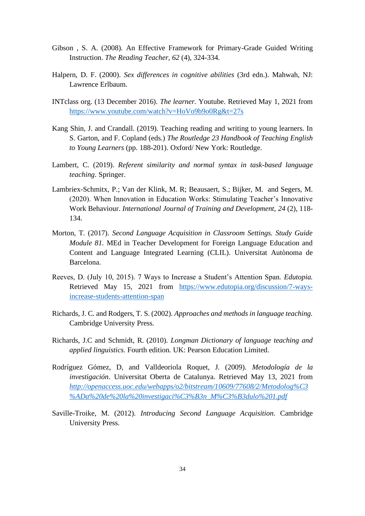- Gibson , S. A. (2008). An Effective Framework for Primary-Grade Guided Writing Instruction. *The Reading Teacher, 62* (4), 324-334.
- Halpern, D. F. (2000). *Sex differences in cognitive abilities* (3rd edn.). Mahwah, NJ: Lawrence Erlbaum.
- INTclass org. (13 December 2016). *The learner.* Youtube. Retrieved May 1, 2021 from <https://www.youtube.com/watch?v=HoVo9b9o0Rg&t=27s>
- Kang Shin, J. and Crandall. (2019). Teaching reading and writing to young learners. In S. Garton, and F. Copland (eds.) *The Routledge 23 Handbook of Teaching English to Young Learners* (pp. 188-201). Oxford/ New York: Routledge.
- Lambert, C. (2019). *Referent similarity and normal syntax in task-based language teaching*. Springer.
- Lambriex-Schmitx, P.; Van der Klink, M. R; Beausaert, S.; Bijker, M. and Segers, M. (2020). When Innovation in Education Works: Stimulating Teacher's Innovative Work Behaviour. *International Journal of Training and Development, 24* (2), 118- 134.
- Morton, T. (2017). *Second Language Acquisition in Classroom Settings. Study Guide Module 81.* MEd in Teacher Development for Foreign Language Education and Content and Language Integrated Learning (CLIL). Universitat Autònoma de Barcelona.
- Reeves, D. (July 10, 2015). 7 Ways to Increase a Student's Attention Span. *Edutopia.* Retrieved May 15, 2021 from [https://www.edutopia.org/discussion/7-ways](https://www.edutopia.org/discussion/7-ways-increase-students-attention-span)[increase-students-attention-span](https://www.edutopia.org/discussion/7-ways-increase-students-attention-span)
- Richards, J. C. and Rodgers, T. S. (2002). *Approaches and methods in language teaching.* Cambridge University Press.
- Richards, J.C and Schmidt, R. (2010). *Longman Dictionary of language teaching and applied linguistics.* Fourth edition. UK: Pearson Education Limited.
- Rodríguez Gómez, D, and Valldeoriola Roquet, J. (2009). *Metodología de la investigación*. Universitat Oberta de Catalunya. Retrieved May 13, 2021 from *[http://openaccess.uoc.edu/webapps/o2/bitstream/10609/77608/2/Metodolog%C3](http://openaccess.uoc.edu/webapps/o2/bitstream/10609/77608/2/Metodolog%C3%ADa%20de%20la%20investigaci%C3%B3n_M%C3%B3dulo%201.pdf) [%ADa%20de%20la%20investigaci%C3%B3n\\_M%C3%B3dulo%201.pdf](http://openaccess.uoc.edu/webapps/o2/bitstream/10609/77608/2/Metodolog%C3%ADa%20de%20la%20investigaci%C3%B3n_M%C3%B3dulo%201.pdf)*
- Saville-Troike, M. (2012). *Introducing Second Language Acquisition*. Cambridge University Press.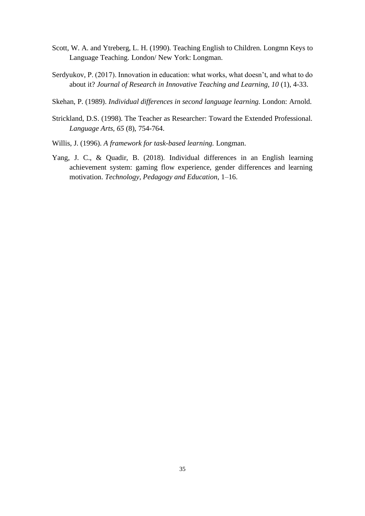- Scott, W. A. and Ytreberg, L. H. (1990). Teaching English to Children. Longmn Keys to Language Teaching. London/ New York: Longman.
- Serdyukov, P. (2017). Innovation in education: what works, what doesn't, and what to do about it? *Journal of Research in Innovative Teaching and Learning, 10* (1), 4-33.
- Skehan, P. (1989). *Individual differences in second language learning.* London: Arnold.
- Strickland, D.S. (1998). The Teacher as Researcher: Toward the Extended Professional. *Language Arts, 65* (8), 754-764.
- Willis, J. (1996). *A framework for task-based learning.* Longman.
- Yang, J. C., & Quadir, B. (2018). Individual differences in an English learning achievement system: gaming flow experience, gender differences and learning motivation. *Technology, Pedagogy and Education*, 1–16.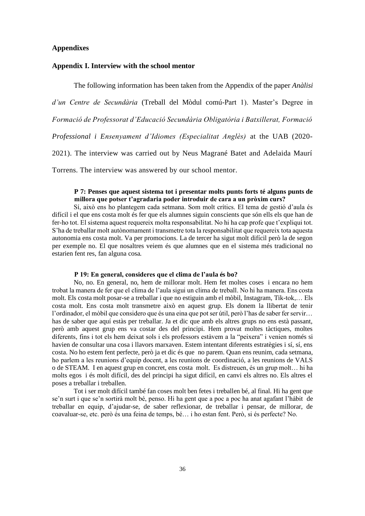#### <span id="page-42-0"></span>**Appendixes**

#### <span id="page-42-1"></span>**Appendix I. Interview with the school mentor**

The following information has been taken from the Appendix of the paper *Anàlisi d'un Centre de Secundària* (Treball del Mòdul comú-Part 1). Master's Degree in *Formació de Professorat d'Educació Secundària Obligatòria i Batxillerat, Formació* 

*Professional i Ensenyament d'Idiomes (Especialitat Anglès)* at the UAB (2020-

2021). The interview was carried out by Neus Magrané Batet and Adelaida Maurí

Torrens. The interview was answered by our school mentor.

#### **P 7: Penses que aquest sistema tot i presentar molts punts forts té alguns punts de millora que potser t'agradaria poder introduir de cara a un pròxim curs?**

Sí, això ens ho plantegem cada setmana. Som molt crítics. El tema de gestió d'aula és difícil i el que ens costa molt és fer que els alumnes siguin conscients que són ells els que han de fer-ho tot. El sistema aquest requereix molta responsabilitat. No hi ha cap profe que t'expliqui tot. S'ha de treballar molt autònomament i transmetre tota la responsabilitat que requereix tota aquesta autonomia ens costa molt. Va per promocions. La de tercer ha sigut molt difícil però la de segon per exemple no. El que nosaltres veiem és que alumnes que en el sistema més tradicional no estarien fent res, fan alguna cosa.

#### **P 19: En general, consideres que el clima de l'aula és bo?**

No, no. En general, no, hem de millorar molt. Hem fet moltes coses i encara no hem trobat la manera de fer que el clima de l'aula sigui un clima de treball. No hi ha manera. Ens costa molt. Els costa molt posar-se a treballar i que no estiguin amb el mòbil, Instagram, Tik-tok,… Els costa molt. Ens costa molt transmetre això en aquest grup. Els donem la llibertat de tenir l'ordinador, el mòbil que considero que és una eina que pot ser útil, però l'has de saber fer servir… has de saber que aquí estàs per treballar. Ja et dic que amb els altres grups no ens està passant, però amb aquest grup ens va costar des del principi. Hem provat moltes tàctiques, moltes diferents, fins i tot els hem deixat sols i els professors estàvem a la "peixera" i venien només si havien de consultar una cosa i llavors marxaven. Estem intentant diferents estratègies i sí, sí, ens costa. No ho estem fent perfecte, però ja et dic és que no parem. Quan ens reunim, cada setmana, ho parlem a les reunions d'equip docent, a les reunions de coordinació, a les reunions de VALS o de STEAM. I en aquest grup en concret, ens costa molt. Es distreuen, és un grup molt… hi ha molts egos i és molt difícil, des del principi ha sigut difícil, en canvi els altres no. Els altres el poses a treballar i treballen.

Tot i ser molt difícil també fan coses molt ben fetes i treballen bé, al final. Hi ha gent que se'n surt i que se'n sortirà molt bé, penso. Hi ha gent que a poc a poc ha anat agafant l'hàbit de treballar en equip, d'ajudar-se, de saber reflexionar, de treballar i pensar, de millorar, de coavaluar-se, etc. però és una feina de temps, bé… i ho estan fent. Però, si és perfecte? No.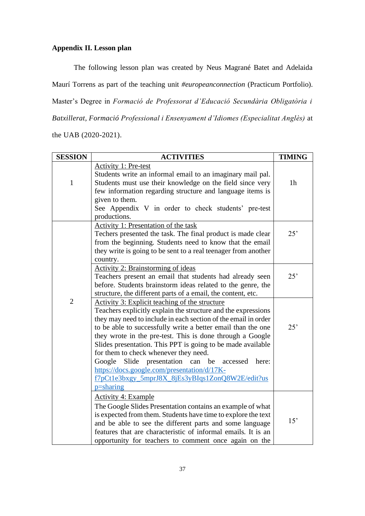### <span id="page-43-0"></span>**Appendix II. Lesson plan**

The following lesson plan was created by Neus Magrané Batet and Adelaida Maurí Torrens as part of the teaching unit *#europeanconnection* (Practicum Portfolio). Master's Degree in *Formació de Professorat d'Educació Secundària Obligatòria i Batxillerat, Formació Professional i Ensenyament d'Idiomes (Especialitat Anglès)* at the UAB (2020-2021).

| <b>SESSION</b> | <b>ACTIVITIES</b>                                                                                                                                                                                                                                                                                                                                                                                                                                                                                                                                                                                  | <b>TIMING</b>  |
|----------------|----------------------------------------------------------------------------------------------------------------------------------------------------------------------------------------------------------------------------------------------------------------------------------------------------------------------------------------------------------------------------------------------------------------------------------------------------------------------------------------------------------------------------------------------------------------------------------------------------|----------------|
| $\mathbf{1}$   | <b>Activity 1: Pre-test</b><br>Students write an informal email to an imaginary mail pal.<br>Students must use their knowledge on the field since very<br>few information regarding structure and language items is<br>given to them.<br>See Appendix V in order to check students' pre-test<br>productions.                                                                                                                                                                                                                                                                                       | 1 <sub>h</sub> |
|                | <b>Activity 1: Presentation of the task</b><br>Techers presented the task. The final product is made clear<br>from the beginning. Students need to know that the email<br>they write is going to be sent to a real teenager from another<br>country.                                                                                                                                                                                                                                                                                                                                               | 25'            |
|                | <b>Activity 2: Brainstorming of ideas</b><br>Teachers present an email that students had already seen<br>before. Students brainstorm ideas related to the genre, the<br>structure, the different parts of a email, the content, etc.                                                                                                                                                                                                                                                                                                                                                               | 25'            |
| $\overline{2}$ | Activity 3: Explicit teaching of the structure<br>Teachers explicitly explain the structure and the expressions<br>they may need to include in each section of the email in order<br>to be able to successfully write a better email than the one<br>they wrote in the pre-test. This is done through a Google<br>Slides presentation. This PPT is going to be made available<br>for them to check whenever they need.<br>Google<br>Slide presentation can be<br>accessed<br>here:<br>https://docs.google.com/presentation/d/17K-<br>f7pCt1e3bxgy_5mprJ8X_8jEs3yBIqs1ZonQ8W2E/edit?us<br>p=sharing | 25'            |
|                | <b>Activity 4: Example</b><br>The Google Slides Presentation contains an example of what<br>is expected from them. Students have time to explore the text<br>and be able to see the different parts and some language<br>features that are characteristic of informal emails. It is an<br>opportunity for teachers to comment once again on the                                                                                                                                                                                                                                                    | 15'            |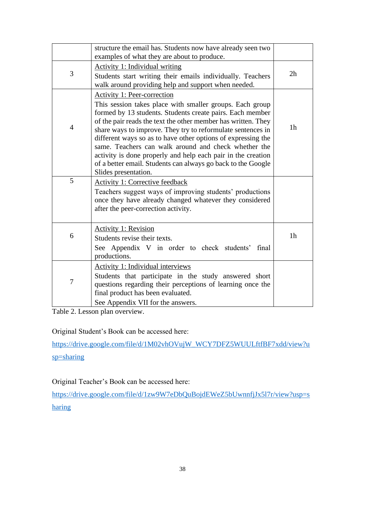|                | structure the email has. Students now have already seen two<br>examples of what they are about to produce.                   |                |
|----------------|------------------------------------------------------------------------------------------------------------------------------|----------------|
|                | <b>Activity 1: Individual writing</b>                                                                                        |                |
| 3              | Students start writing their emails individually. Teachers<br>walk around providing help and support when needed.            | 2h             |
|                | Activity 1: Peer-correction                                                                                                  |                |
|                | This session takes place with smaller groups. Each group                                                                     |                |
|                | formed by 13 students. Students create pairs. Each member                                                                    |                |
| $\overline{4}$ | of the pair reads the text the other member has written. They<br>share ways to improve. They try to reformulate sentences in | 1 <sub>h</sub> |
|                | different ways so as to have other options of expressing the                                                                 |                |
|                | same. Teachers can walk around and check whether the                                                                         |                |
|                | activity is done properly and help each pair in the creation                                                                 |                |
|                | of a better email. Students can always go back to the Google                                                                 |                |
| 5              | Slides presentation.                                                                                                         |                |
|                | <b>Activity 1: Corrective feedback</b><br>Teachers suggest ways of improving students' productions                           |                |
|                | once they have already changed whatever they considered                                                                      |                |
|                | after the peer-correction activity.                                                                                          |                |
|                |                                                                                                                              |                |
|                | <b>Activity 1: Revision</b>                                                                                                  |                |
| 6              | Students revise their texts.                                                                                                 | 1 <sub>h</sub> |
|                | See Appendix V in order to check students'<br>final                                                                          |                |
|                | productions.                                                                                                                 |                |
|                | Activity 1: Individual interviews                                                                                            |                |
| 7              | Students that participate in the study answered short                                                                        |                |
|                | questions regarding their perceptions of learning once the<br>final product has been evaluated.                              |                |
|                | See Appendix VII for the answers.                                                                                            |                |
|                |                                                                                                                              |                |

<span id="page-44-0"></span>Table 2. Lesson plan overview.

Original Student's Book can be accessed here:

[https://drive.google.com/file/d/1M02vhOVujW\\_WCY7DFZ5WUULftfBF7xdd/view?u](https://drive.google.com/file/d/1M02vhOVujW_WCY7DFZ5WUULftfBF7xdd/view?usp=sharing) [sp=sharing](https://drive.google.com/file/d/1M02vhOVujW_WCY7DFZ5WUULftfBF7xdd/view?usp=sharing)

Original Teacher's Book can be accessed here:

[https://drive.google.com/file/d/1zw9W7eDbQuBojdEWeZ5bUwnnfjJx5l7r/view?usp=s](https://drive.google.com/file/d/1zw9W7eDbQuBojdEWeZ5bUwnnfjJx5l7r/view?usp=sharing) [haring](https://drive.google.com/file/d/1zw9W7eDbQuBojdEWeZ5bUwnnfjJx5l7r/view?usp=sharing)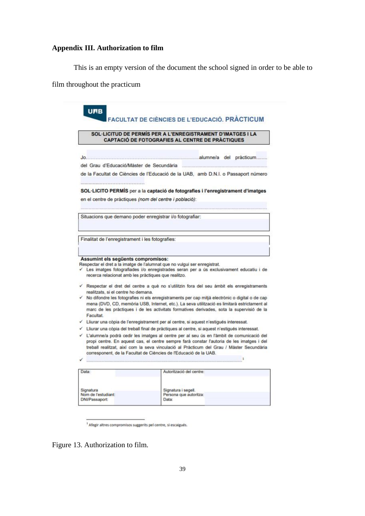## <span id="page-45-0"></span>**Appendix III. Authorization to film**

This is an empty version of the document the school signed in order to be able to

film throughout the practicum

|   | SOL·LICITUD DE PERMÍS PER A L'ENREGISTRAMENT D'IMATGES I LA<br><b>CAPTACIÓ DE FOTOGRAFIES AL CENTRE DE PRACTIQUES</b>                                                                                                                                                                                                                                  |
|---|--------------------------------------------------------------------------------------------------------------------------------------------------------------------------------------------------------------------------------------------------------------------------------------------------------------------------------------------------------|
|   |                                                                                                                                                                                                                                                                                                                                                        |
|   | del Grau d'Educació/Màster de Secundària                                                                                                                                                                                                                                                                                                               |
|   | de la Facultat de Ciències de l'Educació de la UAB, amb D.N.I. o Passaport número                                                                                                                                                                                                                                                                      |
|   | SOL·LICITO PERMIS per a la captació de fotografies i l'enregistrament d'imatges                                                                                                                                                                                                                                                                        |
|   |                                                                                                                                                                                                                                                                                                                                                        |
|   | en el centre de pràctiques (nom del centre i població):                                                                                                                                                                                                                                                                                                |
|   | Situacions que demano poder enregistrar i/o fotografiar:                                                                                                                                                                                                                                                                                               |
|   | Finalitat de l'enregistrament i les fotografies:                                                                                                                                                                                                                                                                                                       |
|   | Assumint els següents compromisos:<br>Respectar el dret a la imatge de l'alumnat que no vulgui ser enregistrat.<br>Les imatges fotografiades i/o enregistrades seran per a ús exclusivament educatiu i de<br>recerca relacionat amb les pràctiques que realitzo.                                                                                       |
|   | √ Respectar el dret del centre a què no s'utilitzin fora del seu àmbit els enregistraments<br>realitzats, si el centre ho demana.                                                                                                                                                                                                                      |
|   | No difondre les fotografies ni els enregistraments per cap mitjà electrònic o digital o de cap<br>mena (DVD, CD, memòria USB, Internet, etc.). La seva utilització es limitarà estrictament al<br>marc de les pràctiques i de les activitats formatives derivades, sota la supervisió de la<br><b>Facultat</b>                                         |
|   | √ Lliurar una còpia de l'enregistrament per al centre, si aquest n'estigués interessat.                                                                                                                                                                                                                                                                |
| ✓ | Lliurar una còpia del treball final de pràctiques al centre, si aquest n'estigués interessat.                                                                                                                                                                                                                                                          |
| ✓ | L'alumne/a podrà cedir les imatges al centre per al seu ús en l'àmbit de comunicació del<br>propi centre. En aquest cas, el centre sempre farà constar l'autoria de les imatges i del<br>treball realitzat, així com la seva vinculació al Pràcticum del Grau / Màster Secundària<br>corresponent, de la Facultat de Ciències de l'Educació de la UAB. |
|   | -1                                                                                                                                                                                                                                                                                                                                                     |

<sup>1</sup> Afegir altres compromisos suggerits pel centre, si escaigués.

<span id="page-45-1"></span>Figure 13. Authorization to film.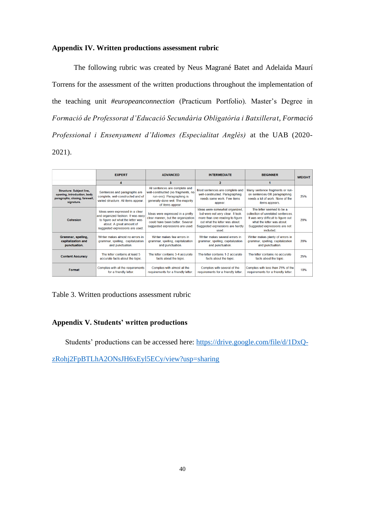#### <span id="page-46-0"></span>**Appendix IV. Written productions assessment rubric**

The following rubric was created by Neus Magrané Batet and Adelaida Maurí Torrens for the assessment of the written productions throughout the implementation of the teaching unit *#europeanconnection* (Practicum Portfolio). Master's Degree in *Formació de Professorat d'Educació Secundària Obligatòria i Batxillerat, Formació Professional i Ensenyament d'Idiomes (Especialitat Anglès)* at the UAB (2020- 2021).

|                                                                                                                | <b>EXPERT</b>                                                                                                                                                             | <b>ADVANCED</b>                                                                                                                                            | <b>INTERMEDIATE</b>                                                                                                                                                                | <b>BEGINNER</b>                                                                                                                                                                  | <b>WEIGHT</b> |
|----------------------------------------------------------------------------------------------------------------|---------------------------------------------------------------------------------------------------------------------------------------------------------------------------|------------------------------------------------------------------------------------------------------------------------------------------------------------|------------------------------------------------------------------------------------------------------------------------------------------------------------------------------------|----------------------------------------------------------------------------------------------------------------------------------------------------------------------------------|---------------|
|                                                                                                                |                                                                                                                                                                           | 3                                                                                                                                                          | $\overline{2}$                                                                                                                                                                     |                                                                                                                                                                                  |               |
| <b>Structure: Subject line,</b><br>opening, introduction, body<br>paragraphs, closing, farewell,<br>signature. | Sentences and paragraphs are<br>complete, well-constructed and of<br>varied structure. All items appear.                                                                  | All sentences are complete and<br>well-constructed (no fragments, no<br>run-ons). Paragraphing is<br>generally done well. The majority<br>of items appear. | Most sentences are complete and<br>well-constructed. Paragraphing<br>needs some work. Few items<br>appear.                                                                         | Many sentence fragments or run-<br>on sentences OR paragraphing<br>needs a lot of work. None of the<br>items appears.                                                            | 25%           |
| Cohesion                                                                                                       | Ideas were expressed in a clear<br>and organized fashion. It was easy<br>to figure out what the letter was<br>about. A great amount of<br>suggested expressions are used. | Ideas were expressed in a pretty<br>clear manner, but the organization<br>could have been better. Several<br>suggested expressions are used.               | Ideas were somewhat organized,<br>but were not very clear. It took<br>more than one reading to figure<br>out what the letter was about<br>Suggested expressions are hardly<br>used | The letter seemed to be a<br>collection of unrelated sentences<br>It was very difficult to figure out<br>what the letter was about<br>Suggested expressions are not<br>included. | 20%           |
| Grammar, spelling,<br>capitalization and<br>punctuation.                                                       | Writer makes almost no errors in<br>grammar, spelling, capitalization<br>and punctuation.                                                                                 | Writer makes few errors in<br>grammar, spelling, capitalization<br>and punctuation.                                                                        | Writer makes several errors in<br>grammar, spelling, capitalization<br>and punctuation.                                                                                            | Writer makes plenty of errors in<br>grammar, spelling, capitalization<br>and punctuation.                                                                                        | 20%           |
| <b>Content Accuracy</b>                                                                                        | The letter contains at least 5<br>accurate facts about the topic.                                                                                                         | The letter contains 3-4 accurate<br>facts about the topic.                                                                                                 | The letter contains 1-2 accurate<br>facts about the topic.                                                                                                                         | The letter contains no accurate<br>facts about the topic.                                                                                                                        | 25%           |
| Format                                                                                                         | Complies with all the requirements<br>for a friendly letter.                                                                                                              | Complies with almost all the<br>requirements for a friendly letter.                                                                                        | Complies with several of the<br>requirements for a friendly letter.                                                                                                                | Complies with less than 75% of the<br>requirements for a friendly letter.                                                                                                        | 10%           |

<span id="page-46-2"></span>Table 3. Written productions assessment rubric

#### <span id="page-46-1"></span>**Appendix V. Students' written productions**

Students' productions can be accessed here: [https://drive.google.com/file/d/1DxQ-](https://drive.google.com/file/d/1DxQ-zRohj2FpBTLhA2ONsJH6xEyl5ECy/view?usp=sharing)

[zRohj2FpBTLhA2ONsJH6xEyl5ECy/view?usp=sharing](https://drive.google.com/file/d/1DxQ-zRohj2FpBTLhA2ONsJH6xEyl5ECy/view?usp=sharing)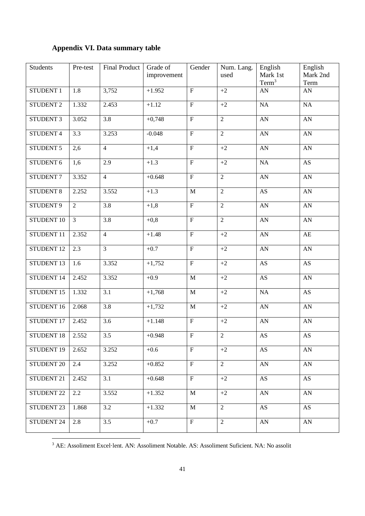## <span id="page-47-0"></span>**Appendix VI. Data summary table**

| <b>Students</b>       | Pre-test         | <b>Final Product</b> | Grade of<br>improvement | Gender                    | Num. Lang.<br>used | English<br>Mark 1st<br>Term <sup>3</sup> | English<br>Mark 2nd<br>Term |
|-----------------------|------------------|----------------------|-------------------------|---------------------------|--------------------|------------------------------------------|-----------------------------|
| STUDENT 1             | 1.8              | 3,752                | $+1.952$                | $\boldsymbol{\mathrm{F}}$ | $+2$               | AN                                       | AN                          |
| STUDENT <sub>2</sub>  | 1.332            | 2.453                | $+1.12$                 | $\overline{F}$            | $+2$               | NA                                       | NA                          |
| <b>STUDENT 3</b>      | 3.052            | $\overline{3.8}$     | $+0,748$                | $\overline{F}$            | $\overline{2}$     | $\mathbf{A}\mathbf{N}$                   | AN                          |
| STUDENT 4             | $\overline{3.3}$ | 3.253                | $-0.048$                | $\overline{F}$            | $\overline{2}$     | $\mathbf{A}\mathbf{N}$                   | ${\bf A}{\bf N}$            |
| STUDENT 5             | 2,6              | $\overline{4}$       | $+1,4$                  | $\mathbf F$               | $+2$               | $\mathbf{A}\mathbf{N}$                   | ${\bf A}{\bf N}$            |
| STUDENT 6             | 1,6              | 2.9                  | $+1.3$                  | $\mathbf F$               | $+2$               | $\rm NA$                                 | $\mathbf{A}\mathbf{S}$      |
| STUDENT <sub>7</sub>  | 3.352            | $\overline{4}$       | $+0.648$                | $\mathbf F$               | $\overline{2}$     | AN                                       | ${\rm AN}$                  |
| <b>STUDENT 8</b>      | 2.252            | 3.552                | $+1.3$                  | $\mathbf M$               | $\overline{2}$     | AS                                       | ${\rm AN}$                  |
| STUDENT 9             | 2                | 3.8                  | $+1,8$                  | $\overline{F}$            | $\overline{2}$     | $\mathbf{A}\mathbf{N}$                   | ${\rm AN}$                  |
| STUDENT 10            | $\mathfrak{Z}$   | 3.8                  | $+0,8$                  | $\boldsymbol{\mathrm{F}}$ | $\overline{2}$     | $\mathbf{A}\mathbf{N}$                   | ${\bf A}{\bf N}$            |
| STUDENT 11            | 2.352            | $\overline{4}$       | $+1.48$                 | $\overline{F}$            | $+2$               | $\mathbf{A}\mathbf{N}$                   | AE                          |
| STUDENT 12            | 2.3              | $\overline{3}$       | $+0.7$                  | $\overline{F}$            | $+2$               | AN                                       | ${\rm AN}$                  |
| STUDENT <sub>13</sub> | $\overline{1.6}$ | 3.352                | $+1,752$                | $\overline{F}$            | $+2$               | <b>AS</b>                                | AS                          |
| STUDENT 14            | 2.452            | 3.352                | $+0.9$                  | $\mathbf M$               | $+2$               | <b>AS</b>                                | ${\bf A}{\bf N}$            |
| STUDENT 15            | 1.332            | 3.1                  | $+1,768$                | $\mathbf M$               | $+2$               | <b>NA</b>                                | AS                          |
| STUDENT 16            | 2.068            | 3.8                  | $+1,732$                | $\mathbf M$               | $+2$               | $\mathbf{A}\mathbf{N}$                   | AN                          |
| STUDENT 17            | 2.452            | 3.6                  | $+1.148$                | $\mathbf F$               | $+2$               | AN                                       | AN                          |
| <b>STUDENT 18</b>     | 2.552            | 3.5                  | $+0.948$                | $\mathbf F$               | $\overline{2}$     | $\mathbf{A}\mathbf{S}$                   | $\mathbf{A}\mathbf{S}$      |
| STUDENT 19            | 2.652            | 3.252                | $+0.6$                  | $\overline{\mathrm{F}}$   | $+2$               | $\mathbf{A}\mathbf{S}$                   | AN                          |
| STUDENT 20            | 2.4              | 3.252                | $+0.852$                | $\mathbf{F}$              | $\overline{2}$     | AN                                       | AN                          |
| STUDENT 21            | 2.452            | 3.1                  | $+0.648$                | $\mathbf{F}$              | $+2$               | AS                                       | AS                          |
| STUDENT <sub>22</sub> | $2.2\,$          | 3.552                | $+1.352$                | M                         | $+2$               | ${\rm AN}$                               | AN                          |
| STUDENT 23            | 1.868            | 3.2                  | $+1.332$                | $\mathbf M$               | $\overline{2}$     | AS                                       | AS                          |
| STUDENT 24            | 2.8              | 3.5                  | $+0.7$                  | $\overline{F}$            | $\overline{2}$     | ${\rm AN}$                               | AN                          |

<sup>3</sup> AE: Assoliment Excel·lent. AN: Assoliment Notable. AS: Assoliment Suficient. NA: No assolit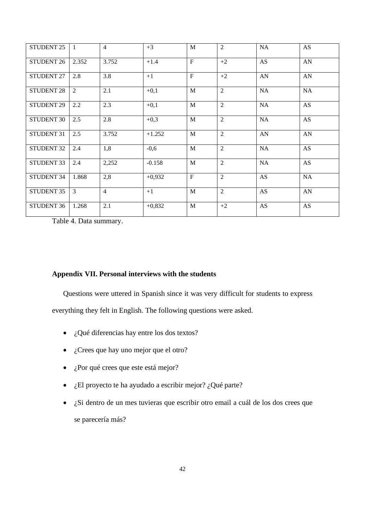| <b>STUDENT 25</b> | $\overline{1}$ | $\overline{4}$ | $+3$     | $\mathbf{M}$ | $\overline{2}$ | NA        | AS         |
|-------------------|----------------|----------------|----------|--------------|----------------|-----------|------------|
| <b>STUDENT 26</b> | 2.352          | 3.752          | $+1.4$   | $\mathbf{F}$ | $+2$           | AS        | AN         |
| <b>STUDENT 27</b> | 2.8            | 3.8            | $+1$     | F            | $+2$           | AN        | ${\rm AN}$ |
| <b>STUDENT 28</b> | $\overline{2}$ | 2.1            | $+0,1$   | M            | $\overline{2}$ | <b>NA</b> | <b>NA</b>  |
| <b>STUDENT 29</b> | $2.2\,$        | 2.3            | $+0,1$   | $\mathbf{M}$ | 2              | NA        | AS         |
| <b>STUDENT 30</b> | 2.5            | 2.8            | $+0,3$   | $\mathbf{M}$ | $\overline{2}$ | <b>NA</b> | AS         |
| <b>STUDENT 31</b> | 2.5            | 3.752          | $+1.252$ | M            | $\overline{2}$ | AN        | AN         |
| <b>STUDENT 32</b> | 2.4            | 1,8            | $-0,6$   | $\mathbf{M}$ | $\overline{2}$ | <b>NA</b> | AS         |
| <b>STUDENT 33</b> | 2.4            | 2,252          | $-0.158$ | $\mathbf{M}$ | $\overline{2}$ | NA        | AS         |
| <b>STUDENT 34</b> | 1.868          | 2,8            | $+0,932$ | $\mathbf{F}$ | $\overline{2}$ | AS        | <b>NA</b>  |
| STUDENT 35        | 3              | $\overline{4}$ | $+1$     | M            | $\overline{2}$ | AS        | AN         |
| STUDENT 36        | 1.268          | 2.1            | $+0,832$ | M            | $+2$           | AS        | AS         |

<span id="page-48-1"></span>Table 4. Data summary.

#### <span id="page-48-0"></span>**Appendix VII. Personal interviews with the students**

Questions were uttered in Spanish since it was very difficult for students to express everything they felt in English. The following questions were asked.

- ¿Qué diferencias hay entre los dos textos?
- $\bullet$  *i*. Crees que hay uno mejor que el otro?
- ¿Por qué crees que este está mejor?
- *i*.El proyecto te ha ayudado a escribir mejor? *i*.Qué parte?
- ¿Si dentro de un mes tuvieras que escribir otro email a cuál de los dos crees que se parecería más?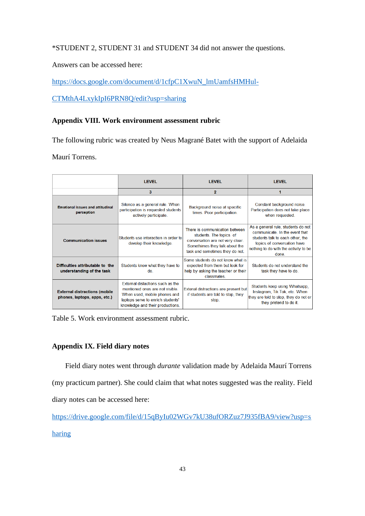\*STUDENT 2, STUDENT 31 and STUDENT 34 did not answer the questions.

Answers can be accessed here:

[https://docs.google.com/document/d/1cfpC1XwuN\\_lmUamfsHMHul-](https://docs.google.com/document/d/1cfpC1XwuN_lmUamfsHMHul-CTMthA4LxykIpI6PRN8Q/edit?usp=sharing)

[CTMthA4LxykIpI6PRN8Q/edit?usp=sharing](https://docs.google.com/document/d/1cfpC1XwuN_lmUamfsHMHul-CTMthA4LxykIpI6PRN8Q/edit?usp=sharing)

#### <span id="page-49-0"></span>**Appendix VIII. Work environment assessment rubric**

The following rubric was created by Neus Magrané Batet with the support of Adelaida

Maurí Torrens.

<span id="page-49-2"></span>

|                                                                      | <b>LEVEL</b>                                                                                                                                                                |                                                                                                                                                                    | <b>LEVEL</b>                                                                                                                                                                             |  |
|----------------------------------------------------------------------|-----------------------------------------------------------------------------------------------------------------------------------------------------------------------------|--------------------------------------------------------------------------------------------------------------------------------------------------------------------|------------------------------------------------------------------------------------------------------------------------------------------------------------------------------------------|--|
|                                                                      | 3                                                                                                                                                                           | $\bf{2}$                                                                                                                                                           | 1                                                                                                                                                                                        |  |
| <b>Emotional issues and attitudinal</b><br>perception                | Silence as a general rule. When<br>participation is requested students<br>actively participate.                                                                             | Background noise at specific<br>times. Poor participation.                                                                                                         | Constant background noise.<br>Participation does not take place<br>when requested.                                                                                                       |  |
| <b>Communication issues</b>                                          | Students use interaction in order to<br>develop their knowledge.                                                                                                            | There is communication between<br>students. The topics of<br>conversation are not very clear.<br>Somethimes they talk about the<br>task and sometimes they do not. | As a general rule, students do not<br>communicate. In the event that<br>students talk to each other, the<br>topics of conversation have<br>nothing to do with the activity to be<br>done |  |
| Difficulties attributable to the<br>understanding of the task        | Students know what they have to<br>do                                                                                                                                       | Some students do not know what is<br>expected from them but look for<br>help by asking the teacher or their<br>classmates                                          | Students do not understand the<br>task they have to do.                                                                                                                                  |  |
| <b>External distractions (mobile</b><br>phones, laptops, apps, etc.) | External distactions such as the<br>mentioned ones are not visible<br>When used, mobile phones and<br>laptops serve to enrich students'<br>knowledge and their productions. | Extenal distractions are present but<br>if students are told to stop, they<br>stop.                                                                                | Students keep using Whatsapp,<br>Instagram, Tik Tok, etc. When<br>they are told to stop, they do not or<br>they pretend to do it.                                                        |  |

Table 5. Work environment assessment rubric.

#### <span id="page-49-1"></span>**Appendix IX. Field diary notes**

Field diary notes went through *durante* validation made by Adelaida Maurí Torrens

(my practicum partner). She could claim that what notes suggested was the reality. Field

diary notes can be accessed here:

[https://drive.google.com/file/d/15qByIu02WGv7kU38ufORZuz7J935fBA9/view?usp=s](https://drive.google.com/file/d/15qByIu02WGv7kU38ufORZuz7J935fBA9/view?usp=sharing)

[haring](https://drive.google.com/file/d/15qByIu02WGv7kU38ufORZuz7J935fBA9/view?usp=sharing)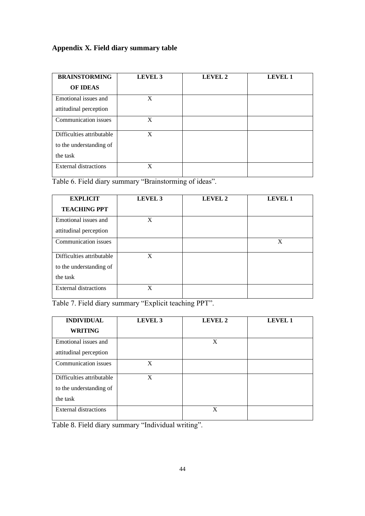## <span id="page-50-0"></span>**Appendix X. Field diary summary table**

| <b>BRAINSTORMING</b>         | LEVEL 3 | <b>LEVEL 2</b> | <b>LEVEL 1</b> |
|------------------------------|---------|----------------|----------------|
| <b>OF IDEAS</b>              |         |                |                |
| Emotional issues and         | X       |                |                |
| attitudinal perception       |         |                |                |
| Communication issues         | X       |                |                |
| Difficulties attributable    | X       |                |                |
| to the understanding of      |         |                |                |
| the task                     |         |                |                |
| <b>External distractions</b> | X       |                |                |

<span id="page-50-1"></span>Table 6. Field diary summary "Brainstorming of ideas".

| <b>EXPLICIT</b>              | LEVEL 3 | <b>LEVEL 2</b> | <b>LEVEL 1</b> |
|------------------------------|---------|----------------|----------------|
| <b>TEACHING PPT</b>          |         |                |                |
| Emotional issues and         | X       |                |                |
| attitudinal perception       |         |                |                |
| Communication issues         |         |                | X              |
| Difficulties attributable    | X       |                |                |
| to the understanding of      |         |                |                |
| the task                     |         |                |                |
| <b>External distractions</b> | X       |                |                |

<span id="page-50-2"></span>Table 7. Field diary summary "Explicit teaching PPT".

| <b>INDIVIDUAL</b>            | LEVEL 3 | LEVEL 2 | <b>LEVEL 1</b> |
|------------------------------|---------|---------|----------------|
| <b>WRITING</b>               |         |         |                |
| Emotional issues and         |         | X       |                |
| attitudinal perception       |         |         |                |
| Communication issues         | X       |         |                |
| Difficulties attributable    | X       |         |                |
| to the understanding of      |         |         |                |
| the task                     |         |         |                |
| <b>External distractions</b> |         | X       |                |

<span id="page-50-3"></span>Table 8. Field diary summary "Individual writing".